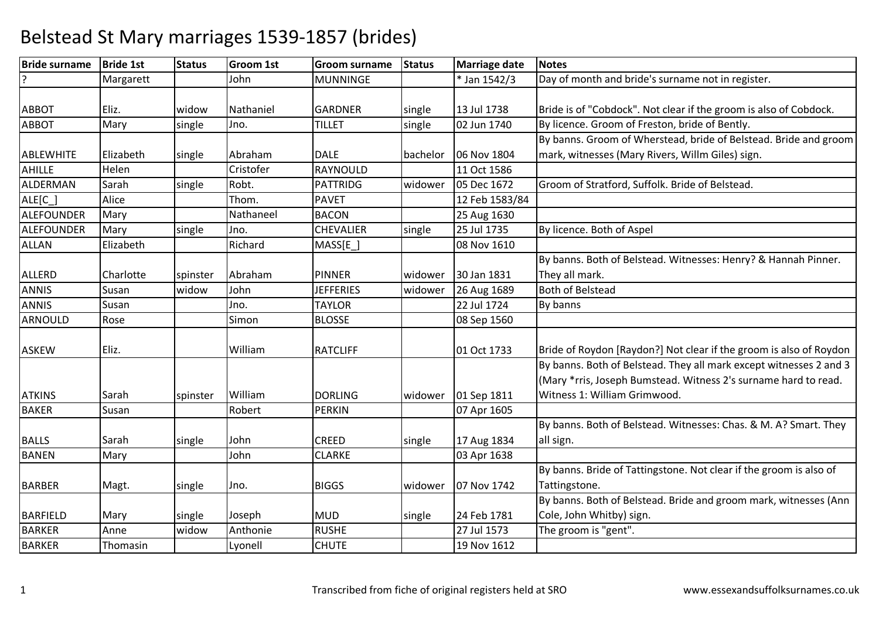| <b>Bride surname</b> | <b>Bride 1st</b> | <b>Status</b> | <b>Groom 1st</b> | Groom surname    | <b>Status</b> | <b>Marriage date</b> | <b>Notes</b>                                                       |
|----------------------|------------------|---------------|------------------|------------------|---------------|----------------------|--------------------------------------------------------------------|
|                      | Margarett        |               | John             | <b>MUNNINGE</b>  |               | * Jan 1542/3         | Day of month and bride's surname not in register.                  |
|                      |                  |               |                  |                  |               |                      |                                                                    |
| <b>ABBOT</b>         | Eliz.            | widow         | Nathaniel        | <b>GARDNER</b>   | single        | 13 Jul 1738          | Bride is of "Cobdock". Not clear if the groom is also of Cobdock.  |
| <b>ABBOT</b>         | Mary             | single        | Jno.             | <b>TILLET</b>    | single        | 02 Jun 1740          | By licence. Groom of Freston, bride of Bently.                     |
|                      |                  |               |                  |                  |               |                      | By banns. Groom of Wherstead, bride of Belstead. Bride and groom   |
| <b>ABLEWHITE</b>     | Elizabeth        | single        | Abraham          | <b>DALE</b>      | bachelor      | 06 Nov 1804          | mark, witnesses (Mary Rivers, Willm Giles) sign.                   |
| <b>AHILLE</b>        | Helen            |               | Cristofer        | RAYNOULD         |               | 11 Oct 1586          |                                                                    |
| <b>ALDERMAN</b>      | Sarah            | single        | Robt.            | <b>PATTRIDG</b>  | widower       | 05 Dec 1672          | Groom of Stratford, Suffolk. Bride of Belstead.                    |
| ALE[C_]              | Alice            |               | Thom.            | <b>PAVET</b>     |               | 12 Feb 1583/84       |                                                                    |
| <b>ALEFOUNDER</b>    | Mary             |               | Nathaneel        | <b>BACON</b>     |               | 25 Aug 1630          |                                                                    |
| ALEFOUNDER           | Mary             | single        | Jno.             | CHEVALIER        | single        | 25 Jul 1735          | By licence. Both of Aspel                                          |
| <b>ALLAN</b>         | Elizabeth        |               | Richard          | $MASS[E_$        |               | 08 Nov 1610          |                                                                    |
|                      |                  |               |                  |                  |               |                      | By banns. Both of Belstead. Witnesses: Henry? & Hannah Pinner.     |
| <b>ALLERD</b>        | Charlotte        | spinster      | Abraham          | <b>PINNER</b>    | widower       | 30 Jan 1831          | They all mark.                                                     |
| <b>ANNIS</b>         | Susan            | widow         | John             | <b>JEFFERIES</b> | widower       | 26 Aug 1689          | <b>Both of Belstead</b>                                            |
| <b>ANNIS</b>         | Susan            |               | Jno.             | <b>TAYLOR</b>    |               | 22 Jul 1724          | By banns                                                           |
| <b>ARNOULD</b>       | Rose             |               | Simon            | <b>BLOSSE</b>    |               | 08 Sep 1560          |                                                                    |
|                      |                  |               |                  |                  |               |                      |                                                                    |
| <b>ASKEW</b>         | Eliz.            |               | William          | <b>RATCLIFF</b>  |               | 01 Oct 1733          | Bride of Roydon [Raydon?] Not clear if the groom is also of Roydon |
|                      |                  |               |                  |                  |               |                      | By banns. Both of Belstead. They all mark except witnesses 2 and 3 |
|                      |                  |               |                  |                  |               |                      | (Mary *rris, Joseph Bumstead. Witness 2's surname hard to read.    |
| <b>ATKINS</b>        | Sarah            | spinster      | William          | <b>DORLING</b>   | widower       | 01 Sep 1811          | Witness 1: William Grimwood.                                       |
| <b>BAKER</b>         | Susan            |               | Robert           | <b>PERKIN</b>    |               | 07 Apr 1605          |                                                                    |
|                      |                  |               |                  |                  |               |                      | By banns. Both of Belstead. Witnesses: Chas. & M. A? Smart. They   |
| <b>BALLS</b>         | Sarah            | single        | John             | <b>CREED</b>     | single        | 17 Aug 1834          | all sign.                                                          |
| <b>BANEN</b>         | Mary             |               | John             | <b>CLARKE</b>    |               | 03 Apr 1638          |                                                                    |
|                      |                  |               |                  |                  |               |                      | By banns. Bride of Tattingstone. Not clear if the groom is also of |
| <b>BARBER</b>        | Magt.            | single        | Jno.             | <b>BIGGS</b>     | widower       | 07 Nov 1742          | Tattingstone.                                                      |
|                      |                  |               |                  |                  |               |                      | By banns. Both of Belstead. Bride and groom mark, witnesses (Ann   |
| <b>BARFIELD</b>      | Mary             | single        | Joseph           | <b>MUD</b>       | single        | 24 Feb 1781          | Cole, John Whitby) sign.                                           |
| <b>BARKER</b>        | Anne             | widow         | Anthonie         | <b>RUSHE</b>     |               | 27 Jul 1573          | The groom is "gent".                                               |
| <b>BARKER</b>        | Thomasin         |               | Lyonell          | <b>CHUTE</b>     |               | 19 Nov 1612          |                                                                    |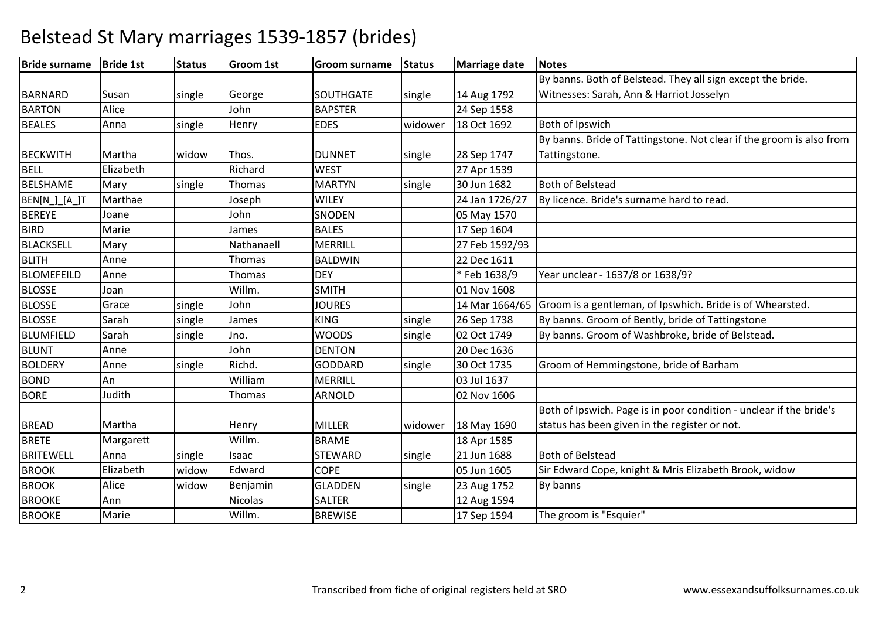#### **Bride surname Bride 1st Status Groom 1st Groom surname Status Marriage date Notes BARNARD** D Susan single George SOUTHGATE single 14 Aug 1792 By banns. Both of Belstead. They all sign except the bride. Witnesses: Sarah, Ann & Harriot Josselyn**BARTON** N Alice John BAPSTER 24 Sep 1558 BEALESAnna single Henry **EDES** Widower 18 Oct 1692 Both of Ipswich BECKWITH Martha widowThos. **DUNNET** Single 28 Sep 1747<br>Richard WEST 27 Apr 1539 By banns. Bride of Tattingstone. Not clear if the groom is also from Tattingstone.BELL Elizabethh Richard WEST 27 Apr 1539 30 Jun 1682 BELSHAMEMary single Thomas MARTYN<br>Joseph WILEY single | 30 Jun 1682 | Both of Belstead BEN[N ] [A ]T Marthae Joseph24 Jan 1726/27 By licence. Bride's surname hard to read. BEREYEE Joane John **SNODEN**<br>
Sames
BALES 05 May 1570<br>17 Sep 1604 BIRDD Marie James BALES 17 Sep 1604 BLACKSELL**Mary**  Nathanaell MERRILL 27 Feb 1592/93**BLITH** H Anne Thomas BALDWIN BALDWIN 22 Dec 1611<br>DEY \* Feb 1638/9 BLOMEFEILD Anne Thomas DEY \* Feb 1638/9 Year unclear - 1637/8 or 1638/9? BLOSSE Joann Willm. SMITH SMITH 01 Nov 1608<br>JOURES 14 Mar 1664 BLOSSEGrace single John| JOURES | 14 Mar 1664/65<br>| KING | single | 26 Sep 1738 Groom is a gentleman, of Ipswhich. Bride is of Whearsted. BLOSSESarah<br>Sarah h single James KING KING Single 26 Sep 1738 By banns. Groom of Bently, bride of Tattingstone<br>WOODS single 02 Oct 1749 By banns. Groom of Washbroke, bride of Belstead BLUMFIELDSarah single Jno. WOODS single 02 Oct 1749 By banns. Groom of Washbroke, bride of Belstead.<br>Anne 1690 John DENTON 20 Dec 1636 BLUNTT Anne John John DENTON<br>Richd. GODDAR 20 Dec 1636<br>
single 30 Oct 1735 BOLDERYAnne single Richd. GODDARD<br>William MERRILL 30 Oct 1735 Groom of Hemmingstone, bride of Barham<br>03 Jul 1637 BONDD An William m MERRILL 03 Jul 1637 **BORF**  JudithThomas **ARNOLD**  02 Nov 1606 BREADD Martha Henry MILLER widower 18 May 1690 Both of Ipswich. Page is in poor condition - unclear if the bride's status has been given in the register or not.BRETEE Margarett Willm. BRAME 18 Apr 1585 21 Jun 1688 **BRITEWELL**  Anna singleIsaac STEWARD<br>Edward COPE single 21 Jun 1688 Both of Belstead<br>
05 Jun 1605 Sir Edward Cope BROOKElizabeth widow<br>Alice widow Edward COPE 105 Jun 1605 Sir Edward Cope, knight & Mris Elizabeth Brook, widow<br>Benjamin GLADDEN single 23 Aug 1752 By banns BROOKwidow w Benjamin GLADDEN single 23 Aug 1752 By banns **BROOKE**  Annn Nicolas SALTER **SALTER** 12 Aug 1594

### Belstead St Mary marriages 1539-1857 (brides)

E Marie Willm. BREWISE 17 Sep 1594

17 Sep 1594 | The groom is "Esquier"

BROOKE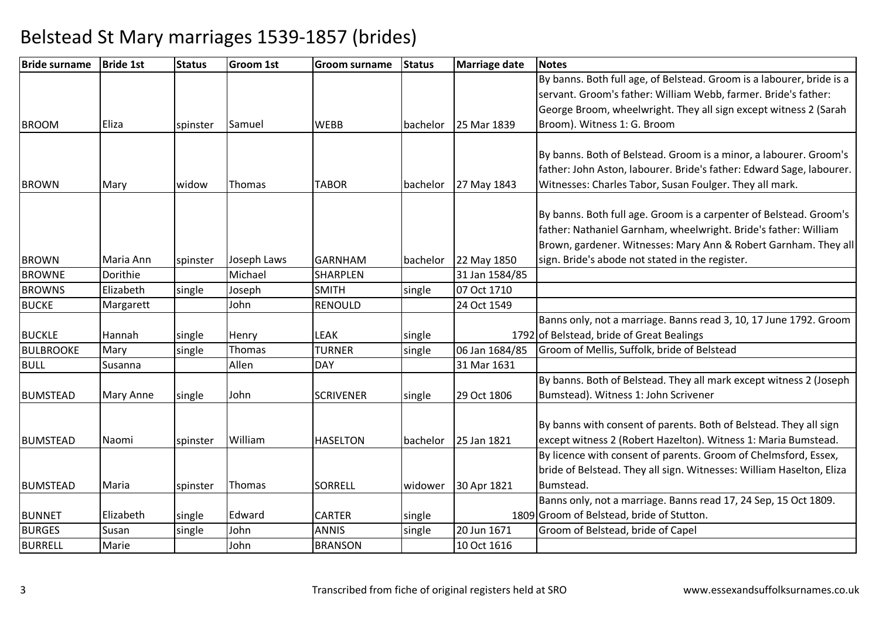| <b>Bride surname</b> | <b>Bride 1st</b> | <b>Status</b> | <b>Groom 1st</b> | <b>Groom surname</b> | <b>Status</b> | <b>Marriage date</b> | <b>Notes</b>                                                          |
|----------------------|------------------|---------------|------------------|----------------------|---------------|----------------------|-----------------------------------------------------------------------|
|                      |                  |               |                  |                      |               |                      | By banns. Both full age, of Belstead. Groom is a labourer, bride is a |
|                      |                  |               |                  |                      |               |                      | servant. Groom's father: William Webb, farmer. Bride's father:        |
|                      |                  |               |                  |                      |               |                      | George Broom, wheelwright. They all sign except witness 2 (Sarah      |
| <b>BROOM</b>         | <b>Eliza</b>     | spinster      | Samuel           | <b>WEBB</b>          | bachelor      | 25 Mar 1839          | Broom). Witness 1: G. Broom                                           |
|                      |                  |               |                  |                      |               |                      |                                                                       |
|                      |                  |               |                  |                      |               |                      | By banns. Both of Belstead. Groom is a minor, a labourer. Groom's     |
|                      |                  |               |                  |                      |               |                      | father: John Aston, labourer. Bride's father: Edward Sage, labourer.  |
| <b>BROWN</b>         | Mary             | widow         | Thomas           | <b>TABOR</b>         | bachelor      | 27 May 1843          | Witnesses: Charles Tabor, Susan Foulger. They all mark.               |
|                      |                  |               |                  |                      |               |                      |                                                                       |
|                      |                  |               |                  |                      |               |                      | By banns. Both full age. Groom is a carpenter of Belstead. Groom's    |
|                      |                  |               |                  |                      |               |                      | father: Nathaniel Garnham, wheelwright. Bride's father: William       |
|                      |                  |               |                  |                      |               |                      | Brown, gardener. Witnesses: Mary Ann & Robert Garnham. They all       |
| <b>BROWN</b>         | Maria Ann        | spinster      | Joseph Laws      | <b>GARNHAM</b>       | bachelor      | 22 May 1850          | sign. Bride's abode not stated in the register.                       |
| <b>BROWNE</b>        | Dorithie         |               | Michael          | <b>SHARPLEN</b>      |               | 31 Jan 1584/85       |                                                                       |
| <b>BROWNS</b>        | Elizabeth        | single        | Joseph           | <b>SMITH</b>         | single        | 07 Oct 1710          |                                                                       |
| <b>BUCKE</b>         | Margarett        |               | John             | <b>RENOULD</b>       |               | 24 Oct 1549          |                                                                       |
|                      |                  |               |                  |                      |               |                      | Banns only, not a marriage. Banns read 3, 10, 17 June 1792. Groom     |
| <b>BUCKLE</b>        | Hannah           | single        | Henry            | LEAK                 | single        |                      | 1792 of Belstead, bride of Great Bealings                             |
| <b>BULBROOKE</b>     | Mary             | single        | Thomas           | <b>TURNER</b>        | single        | 06 Jan 1684/85       | Groom of Mellis, Suffolk, bride of Belstead                           |
| <b>BULL</b>          | Susanna          |               | Allen            | <b>DAY</b>           |               | 31 Mar 1631          |                                                                       |
|                      |                  |               |                  |                      |               |                      | By banns. Both of Belstead. They all mark except witness 2 (Joseph    |
| <b>BUMSTEAD</b>      | Mary Anne        | single        | John             | <b>SCRIVENER</b>     | single        | 29 Oct 1806          | Bumstead). Witness 1: John Scrivener                                  |
|                      |                  |               |                  |                      |               |                      |                                                                       |
|                      |                  |               |                  |                      |               |                      | By banns with consent of parents. Both of Belstead. They all sign     |
| <b>BUMSTEAD</b>      | Naomi            | spinster      | William          | <b>HASELTON</b>      | bachelor      | 25 Jan 1821          | except witness 2 (Robert Hazelton). Witness 1: Maria Bumstead.        |
|                      |                  |               |                  |                      |               |                      | By licence with consent of parents. Groom of Chelmsford, Essex,       |
|                      |                  |               |                  |                      |               |                      | bride of Belstead. They all sign. Witnesses: William Haselton, Eliza  |
| <b>BUMSTEAD</b>      | Maria            | spinster      | Thomas           | <b>SORRELL</b>       | widower       | 30 Apr 1821          | Bumstead.                                                             |
|                      |                  |               |                  |                      |               |                      | Banns only, not a marriage. Banns read 17, 24 Sep, 15 Oct 1809.       |
| <b>BUNNET</b>        | Elizabeth        | single        | Edward           | <b>CARTER</b>        | single        |                      | 1809 Groom of Belstead, bride of Stutton.                             |
| <b>BURGES</b>        | Susan            | single        | John             | <b>ANNIS</b>         | single        | 20 Jun 1671          | Groom of Belstead, bride of Capel                                     |
| <b>BURRELL</b>       | Marie            |               | John             | <b>BRANSON</b>       |               | 10 Oct 1616          |                                                                       |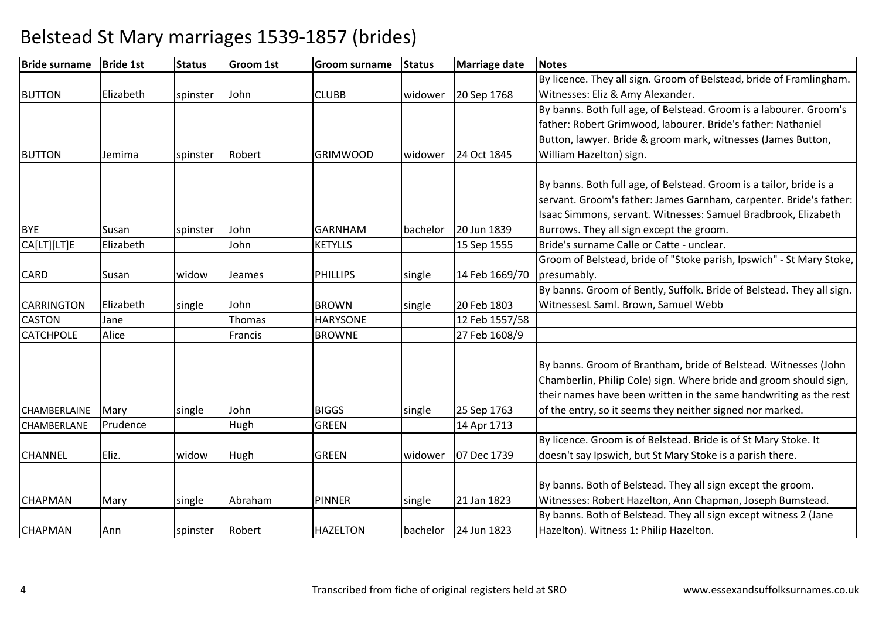| <b>Bride surname</b> | <b>Bride 1st</b> | <b>Status</b> | <b>Groom 1st</b> | <b>Groom surname</b> | <b>Status</b> | Marriage date  | <b>Notes</b>                                                          |
|----------------------|------------------|---------------|------------------|----------------------|---------------|----------------|-----------------------------------------------------------------------|
|                      |                  |               |                  |                      |               |                | By licence. They all sign. Groom of Belstead, bride of Framlingham.   |
| <b>BUTTON</b>        | Elizabeth        | spinster      | John             | <b>CLUBB</b>         | widower       | 20 Sep 1768    | Witnesses: Eliz & Amy Alexander.                                      |
|                      |                  |               |                  |                      |               |                | By banns. Both full age, of Belstead. Groom is a labourer. Groom's    |
|                      |                  |               |                  |                      |               |                | father: Robert Grimwood, labourer. Bride's father: Nathaniel          |
|                      |                  |               |                  |                      |               |                | Button, lawyer. Bride & groom mark, witnesses (James Button,          |
| <b>BUTTON</b>        | Jemima           | spinster      | Robert           | <b>GRIMWOOD</b>      | widower       | 24 Oct 1845    | William Hazelton) sign.                                               |
|                      |                  |               |                  |                      |               |                |                                                                       |
|                      |                  |               |                  |                      |               |                | By banns. Both full age, of Belstead. Groom is a tailor, bride is a   |
|                      |                  |               |                  |                      |               |                | servant. Groom's father: James Garnham, carpenter. Bride's father:    |
|                      |                  |               |                  |                      |               |                | Isaac Simmons, servant. Witnesses: Samuel Bradbrook, Elizabeth        |
| <b>BYE</b>           | Susan            | spinster      | John             | <b>GARNHAM</b>       | bachelor      | 20 Jun 1839    | Burrows. They all sign except the groom.                              |
| CA[LT][LT]E          | Elizabeth        |               | John             | <b>KETYLLS</b>       |               | 15 Sep 1555    | Bride's surname Calle or Catte - unclear.                             |
|                      |                  |               |                  |                      |               |                | Groom of Belstead, bride of "Stoke parish, Ipswich" - St Mary Stoke,  |
| <b>CARD</b>          | Susan            | widow         | Jeames           | <b>PHILLIPS</b>      | single        | 14 Feb 1669/70 | presumably.                                                           |
|                      |                  |               |                  |                      |               |                | By banns. Groom of Bently, Suffolk. Bride of Belstead. They all sign. |
| <b>CARRINGTON</b>    | Elizabeth        | single        | John             | <b>BROWN</b>         | single        | 20 Feb 1803    | WitnessesL Saml. Brown, Samuel Webb                                   |
| <b>CASTON</b>        | Jane             |               | Thomas           | <b>HARYSONE</b>      |               | 12 Feb 1557/58 |                                                                       |
| <b>CATCHPOLE</b>     | Alice            |               | Francis          | <b>BROWNE</b>        |               | 27 Feb 1608/9  |                                                                       |
|                      |                  |               |                  |                      |               |                |                                                                       |
|                      |                  |               |                  |                      |               |                | By banns. Groom of Brantham, bride of Belstead. Witnesses (John       |
|                      |                  |               |                  |                      |               |                | Chamberlin, Philip Cole) sign. Where bride and groom should sign,     |
|                      |                  |               |                  |                      |               |                | their names have been written in the same handwriting as the rest     |
| CHAMBERLAINE         | Mary             | single        | John             | <b>BIGGS</b>         | single        | 25 Sep 1763    | of the entry, so it seems they neither signed nor marked.             |
| CHAMBERLANE          | Prudence         |               | Hugh             | <b>GREEN</b>         |               | 14 Apr 1713    |                                                                       |
|                      |                  |               |                  |                      |               |                | By licence. Groom is of Belstead. Bride is of St Mary Stoke. It       |
| <b>CHANNEL</b>       | Eliz.            | widow         | Hugh             | <b>GREEN</b>         | widower       | 07 Dec 1739    | doesn't say Ipswich, but St Mary Stoke is a parish there.             |
|                      |                  |               |                  |                      |               |                |                                                                       |
|                      |                  |               |                  |                      |               |                | By banns. Both of Belstead. They all sign except the groom.           |
| <b>CHAPMAN</b>       | Mary             | single        | Abraham          | <b>PINNER</b>        | single        | 21 Jan 1823    | Witnesses: Robert Hazelton, Ann Chapman, Joseph Bumstead.             |
|                      |                  |               |                  |                      |               |                | By banns. Both of Belstead. They all sign except witness 2 (Jane      |
| <b>CHAPMAN</b>       | Ann              | spinster      | Robert           | <b>HAZELTON</b>      | bachelor      | 24 Jun 1823    | Hazelton). Witness 1: Philip Hazelton.                                |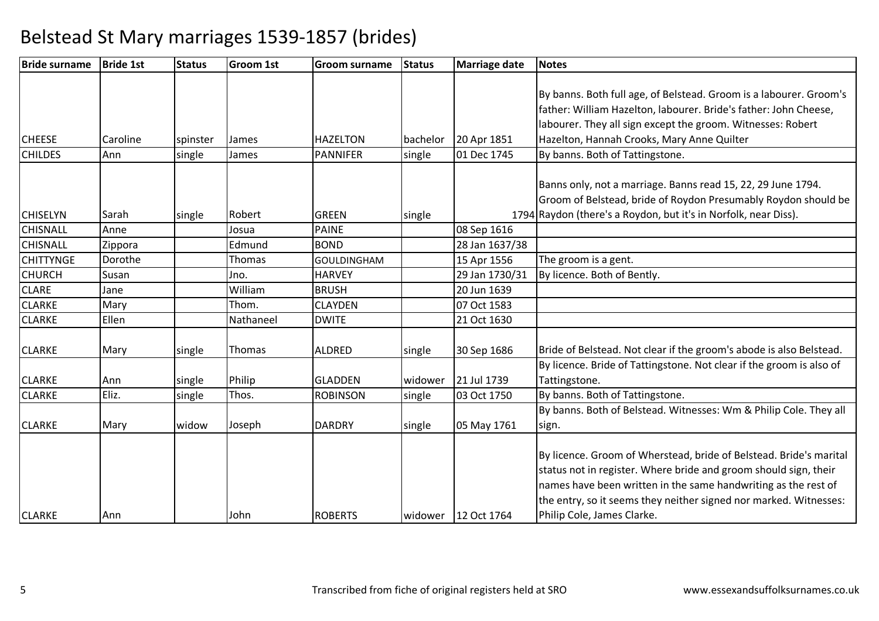| <b>Bride surname</b> | <b>Bride 1st</b> | <b>Status</b> | <b>Groom 1st</b> | <b>Groom surname</b> | <b>Status</b> | Marriage date  | <b>Notes</b>                                                         |
|----------------------|------------------|---------------|------------------|----------------------|---------------|----------------|----------------------------------------------------------------------|
|                      |                  |               |                  |                      |               |                |                                                                      |
|                      |                  |               |                  |                      |               |                | By banns. Both full age, of Belstead. Groom is a labourer. Groom's   |
|                      |                  |               |                  |                      |               |                | father: William Hazelton, labourer. Bride's father: John Cheese,     |
|                      |                  |               |                  |                      |               |                | labourer. They all sign except the groom. Witnesses: Robert          |
| <b>CHEESE</b>        | Caroline         | spinster      | James            | <b>HAZELTON</b>      | bachelor      | 20 Apr 1851    | Hazelton, Hannah Crooks, Mary Anne Quilter                           |
| <b>CHILDES</b>       | Ann              | single        | James            | <b>PANNIFER</b>      | single        | 01 Dec 1745    | By banns. Both of Tattingstone.                                      |
|                      |                  |               |                  |                      |               |                |                                                                      |
|                      |                  |               |                  |                      |               |                | Banns only, not a marriage. Banns read 15, 22, 29 June 1794.         |
|                      |                  |               |                  |                      |               |                | Groom of Belstead, bride of Roydon Presumably Roydon should be       |
| <b>CHISELYN</b>      | Sarah            | single        | Robert           | <b>GREEN</b>         | single        |                | 1794 Raydon (there's a Roydon, but it's in Norfolk, near Diss).      |
| <b>CHISNALL</b>      | Anne             |               | Josua            | <b>PAINE</b>         |               | 08 Sep 1616    |                                                                      |
| <b>CHISNALL</b>      | Zippora          |               | Edmund           | <b>BOND</b>          |               | 28 Jan 1637/38 |                                                                      |
| <b>CHITTYNGE</b>     | Dorothe          |               | Thomas           | <b>GOULDINGHAM</b>   |               | 15 Apr 1556    | The groom is a gent.                                                 |
| <b>CHURCH</b>        | Susan            |               | Jno.             | <b>HARVEY</b>        |               | 29 Jan 1730/31 | By licence. Both of Bently.                                          |
| <b>CLARE</b>         | Jane             |               | William          | <b>BRUSH</b>         |               | 20 Jun 1639    |                                                                      |
| <b>CLARKE</b>        | Mary             |               | Thom.            | <b>CLAYDEN</b>       |               | 07 Oct 1583    |                                                                      |
| <b>CLARKE</b>        | Ellen            |               | Nathaneel        | <b>DWITE</b>         |               | 21 Oct 1630    |                                                                      |
|                      |                  |               |                  |                      |               |                |                                                                      |
| <b>CLARKE</b>        | Mary             | single        | Thomas           | <b>ALDRED</b>        | single        | 30 Sep 1686    | Bride of Belstead. Not clear if the groom's abode is also Belstead.  |
|                      |                  |               |                  |                      |               |                | By licence. Bride of Tattingstone. Not clear if the groom is also of |
| <b>CLARKE</b>        | Ann              | single        | Philip           | <b>GLADDEN</b>       | widower       | 21 Jul 1739    | Tattingstone.                                                        |
| <b>CLARKE</b>        | Eliz.            | single        | Thos.            | <b>ROBINSON</b>      | single        | 03 Oct 1750    | By banns. Both of Tattingstone.                                      |
|                      |                  |               |                  |                      |               |                | By banns. Both of Belstead. Witnesses: Wm & Philip Cole. They all    |
| <b>CLARKE</b>        | Mary             | widow         | Joseph           | <b>DARDRY</b>        | single        | 05 May 1761    | sign.                                                                |
|                      |                  |               |                  |                      |               |                |                                                                      |
|                      |                  |               |                  |                      |               |                | By licence. Groom of Wherstead, bride of Belstead. Bride's marital   |
|                      |                  |               |                  |                      |               |                | status not in register. Where bride and groom should sign, their     |
|                      |                  |               |                  |                      |               |                | names have been written in the same handwriting as the rest of       |
|                      |                  |               |                  |                      |               |                | the entry, so it seems they neither signed nor marked. Witnesses:    |
| <b>CLARKE</b>        | Ann              |               | John             | <b>ROBERTS</b>       | widower       | 12 Oct 1764    | Philip Cole, James Clarke.                                           |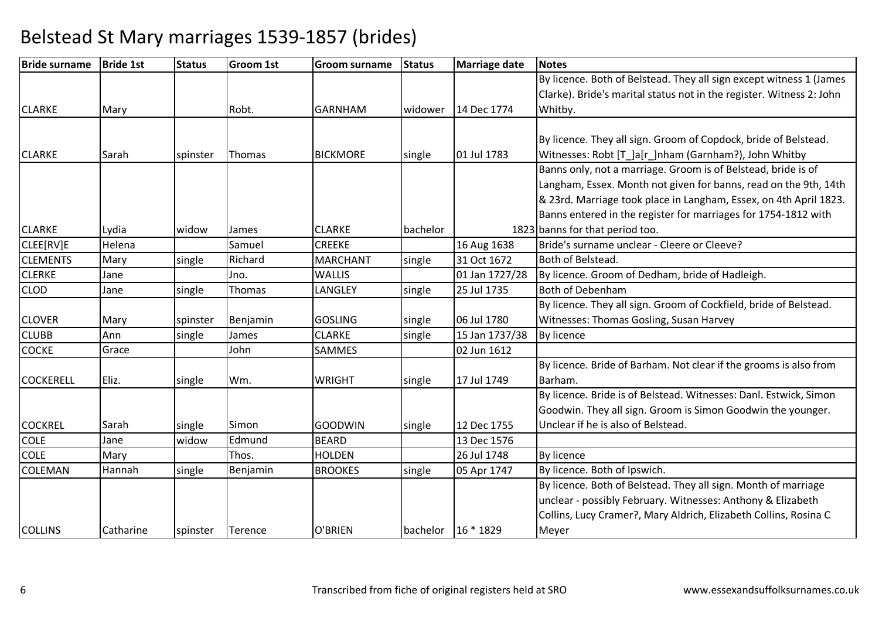| <b>Bride surname</b> | <b>Bride 1st</b> | <b>Status</b> | Groom 1st     | <b>Groom surname</b> | <b>Status</b> | <b>Marriage date</b> | <b>Notes</b>                                                         |
|----------------------|------------------|---------------|---------------|----------------------|---------------|----------------------|----------------------------------------------------------------------|
|                      |                  |               |               |                      |               |                      | By licence. Both of Belstead. They all sign except witness 1 (James  |
|                      |                  |               |               |                      |               |                      | Clarke). Bride's marital status not in the register. Witness 2: John |
| <b>CLARKE</b>        | Mary             |               | Robt.         | <b>GARNHAM</b>       | widower       | 14 Dec 1774          | Whitby.                                                              |
|                      |                  |               |               |                      |               |                      |                                                                      |
|                      |                  |               |               |                      |               |                      | By licence. They all sign. Groom of Copdock, bride of Belstead.      |
| <b>CLARKE</b>        | Sarah            | spinster      | <b>Thomas</b> | <b>BICKMORE</b>      | single        | 01 Jul 1783          | Witnesses: Robt [T_]a[r_]nham (Garnham?), John Whitby                |
|                      |                  |               |               |                      |               |                      | Banns only, not a marriage. Groom is of Belstead, bride is of        |
|                      |                  |               |               |                      |               |                      | Langham, Essex. Month not given for banns, read on the 9th, 14th     |
|                      |                  |               |               |                      |               |                      | & 23rd. Marriage took place in Langham, Essex, on 4th April 1823.    |
|                      |                  |               |               |                      |               |                      | Banns entered in the register for marriages for 1754-1812 with       |
| <b>CLARKE</b>        | Lydia            | widow         | James         | <b>CLARKE</b>        | bachelor      |                      | 1823 banns for that period too.                                      |
| CLEE[RV]E            | Helena           |               | Samuel        | <b>CREEKE</b>        |               | 16 Aug 1638          | Bride's surname unclear - Cleere or Cleeve?                          |
| <b>CLEMENTS</b>      | Mary             | single        | Richard       | <b>MARCHANT</b>      | single        | 31 Oct 1672          | Both of Belstead.                                                    |
| <b>CLERKE</b>        | Jane             |               | Jno.          | <b>WALLIS</b>        |               | 01 Jan 1727/28       | By licence. Groom of Dedham, bride of Hadleigh.                      |
| <b>CLOD</b>          | Jane             | single        | Thomas        | LANGLEY              | single        | 25 Jul 1735          | <b>Both of Debenham</b>                                              |
|                      |                  |               |               |                      |               |                      | By licence. They all sign. Groom of Cockfield, bride of Belstead.    |
| <b>CLOVER</b>        | Mary             | spinster      | Benjamin      | <b>GOSLING</b>       | single        | 06 Jul 1780          | Witnesses: Thomas Gosling, Susan Harvey                              |
| <b>CLUBB</b>         | Ann              | single        | James         | <b>CLARKE</b>        | single        | 15 Jan 1737/38       | By licence                                                           |
| <b>COCKE</b>         | Grace            |               | John          | <b>SAMMES</b>        |               | 02 Jun 1612          |                                                                      |
|                      |                  |               |               |                      |               |                      | By licence. Bride of Barham. Not clear if the grooms is also from    |
| <b>COCKERELL</b>     | Eliz.            | single        | Wm.           | <b>WRIGHT</b>        | single        | 17 Jul 1749          | Barham.                                                              |
|                      |                  |               |               |                      |               |                      | By licence. Bride is of Belstead. Witnesses: Danl. Estwick, Simon    |
|                      |                  |               |               |                      |               |                      | Goodwin. They all sign. Groom is Simon Goodwin the younger.          |
| <b>COCKREL</b>       | Sarah            | single        | Simon         | <b>GOODWIN</b>       | single        | 12 Dec 1755          | Unclear if he is also of Belstead.                                   |
| <b>COLE</b>          | Jane             | widow         | Edmund        | <b>BEARD</b>         |               | 13 Dec 1576          |                                                                      |
| <b>COLE</b>          | Mary             |               | Thos.         | <b>HOLDEN</b>        |               | 26 Jul 1748          | By licence                                                           |
| COLEMAN              | Hannah           | single        | Benjamin      | <b>BROOKES</b>       | single        | 05 Apr 1747          | By licence. Both of Ipswich.                                         |
|                      |                  |               |               |                      |               |                      | By licence. Both of Belstead. They all sign. Month of marriage       |
|                      |                  |               |               |                      |               |                      | unclear - possibly February. Witnesses: Anthony & Elizabeth          |
|                      |                  |               |               |                      |               |                      | Collins, Lucy Cramer?, Mary Aldrich, Elizabeth Collins, Rosina C     |
| <b>COLLINS</b>       | Catharine        | spinster      | Terence       | O'BRIEN              |               | bachelor   16 * 1829 | Meyer                                                                |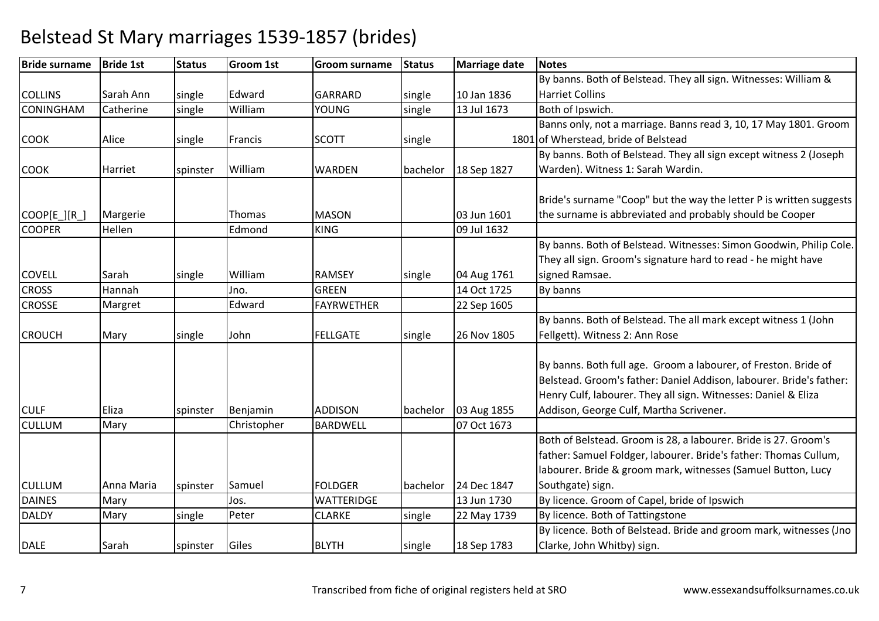| <b>Bride surname</b> | <b>Bride 1st</b> | <b>Status</b> | <b>Groom 1st</b> | <b>Groom surname</b> | <b>Status</b> | Marriage date | <b>Notes</b>                                                        |
|----------------------|------------------|---------------|------------------|----------------------|---------------|---------------|---------------------------------------------------------------------|
|                      |                  |               |                  |                      |               |               | By banns. Both of Belstead. They all sign. Witnesses: William &     |
| <b>COLLINS</b>       | Sarah Ann        | single        | Edward           | <b>GARRARD</b>       | single        | 10 Jan 1836   | <b>Harriet Collins</b>                                              |
| <b>CONINGHAM</b>     | Catherine        | single        | William          | <b>YOUNG</b>         | single        | 13 Jul 1673   | Both of Ipswich.                                                    |
|                      |                  |               |                  |                      |               |               | Banns only, not a marriage. Banns read 3, 10, 17 May 1801. Groom    |
| <b>COOK</b>          | Alice            | single        | Francis          | <b>SCOTT</b>         | single        |               | 1801 of Wherstead, bride of Belstead                                |
|                      |                  |               |                  |                      |               |               | By banns. Both of Belstead. They all sign except witness 2 (Joseph  |
| <b>COOK</b>          | Harriet          | spinster      | William          | <b>WARDEN</b>        | bachelor      | 18 Sep 1827   | Warden). Witness 1: Sarah Wardin.                                   |
|                      |                  |               |                  |                      |               |               |                                                                     |
|                      |                  |               |                  |                      |               |               | Bride's surname "Coop" but the way the letter P is written suggests |
| COOP[E_][R_]         | Margerie         |               | Thomas           | <b>MASON</b>         |               | 03 Jun 1601   | the surname is abbreviated and probably should be Cooper            |
| <b>COOPER</b>        | Hellen           |               | Edmond           | <b>KING</b>          |               | 09 Jul 1632   |                                                                     |
|                      |                  |               |                  |                      |               |               | By banns. Both of Belstead. Witnesses: Simon Goodwin, Philip Cole.  |
|                      |                  |               |                  |                      |               |               | They all sign. Groom's signature hard to read - he might have       |
| <b>COVELL</b>        | Sarah            | single        | William          | <b>RAMSEY</b>        | single        | 04 Aug 1761   | signed Ramsae.                                                      |
| <b>CROSS</b>         | Hannah           |               | Jno.             | <b>GREEN</b>         |               | 14 Oct 1725   | By banns                                                            |
| <b>CROSSE</b>        | Margret          |               | Edward           | <b>FAYRWETHER</b>    |               | 22 Sep 1605   |                                                                     |
|                      |                  |               |                  |                      |               |               | By banns. Both of Belstead. The all mark except witness 1 (John     |
| <b>CROUCH</b>        | Mary             | single        | John             | <b>FELLGATE</b>      | single        | 26 Nov 1805   | Fellgett). Witness 2: Ann Rose                                      |
|                      |                  |               |                  |                      |               |               |                                                                     |
|                      |                  |               |                  |                      |               |               | By banns. Both full age. Groom a labourer, of Freston. Bride of     |
|                      |                  |               |                  |                      |               |               | Belstead. Groom's father: Daniel Addison, labourer. Bride's father: |
|                      |                  |               |                  |                      |               |               | Henry Culf, labourer. They all sign. Witnesses: Daniel & Eliza      |
| <b>CULF</b>          | Eliza            | spinster      | Benjamin         | <b>ADDISON</b>       | bachelor      | 03 Aug 1855   | Addison, George Culf, Martha Scrivener.                             |
| <b>CULLUM</b>        | Mary             |               | Christopher      | <b>BARDWELL</b>      |               | 07 Oct 1673   |                                                                     |
|                      |                  |               |                  |                      |               |               | Both of Belstead. Groom is 28, a labourer. Bride is 27. Groom's     |
|                      |                  |               |                  |                      |               |               | father: Samuel Foldger, labourer. Bride's father: Thomas Cullum,    |
|                      |                  |               |                  |                      |               |               | labourer. Bride & groom mark, witnesses (Samuel Button, Lucy        |
| <b>CULLUM</b>        | Anna Maria       | spinster      | Samuel           | <b>FOLDGER</b>       | bachelor      | 24 Dec 1847   | Southgate) sign.                                                    |
| <b>DAINES</b>        | Mary             |               | Jos.             | <b>WATTERIDGE</b>    |               | 13 Jun 1730   | By licence. Groom of Capel, bride of Ipswich                        |
| <b>DALDY</b>         | Mary             | single        | Peter            | <b>CLARKE</b>        | single        | 22 May 1739   | By licence. Both of Tattingstone                                    |
|                      |                  |               |                  |                      |               |               | By licence. Both of Belstead. Bride and groom mark, witnesses (Jno  |
| <b>DALE</b>          | Sarah            | spinster      | Giles            | <b>BLYTH</b>         | single        | 18 Sep 1783   | Clarke, John Whitby) sign.                                          |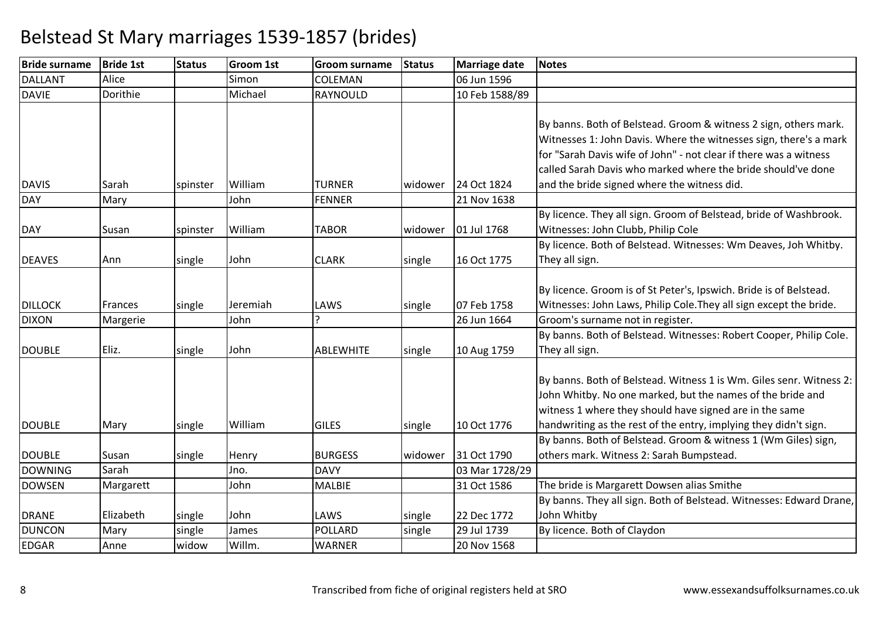| <b>Bride surname</b> | <b>Bride 1st</b> | <b>Status</b> | <b>Groom 1st</b> | <b>Groom surname</b> | <b>Status</b> | <b>Marriage date</b> | <b>Notes</b>                                                        |
|----------------------|------------------|---------------|------------------|----------------------|---------------|----------------------|---------------------------------------------------------------------|
| <b>DALLANT</b>       | Alice            |               | Simon            | COLEMAN              |               | 06 Jun 1596          |                                                                     |
| <b>DAVIE</b>         | Dorithie         |               | Michael          | RAYNOULD             |               | 10 Feb 1588/89       |                                                                     |
|                      |                  |               |                  |                      |               |                      |                                                                     |
|                      |                  |               |                  |                      |               |                      | By banns. Both of Belstead. Groom & witness 2 sign, others mark.    |
|                      |                  |               |                  |                      |               |                      | Witnesses 1: John Davis. Where the witnesses sign, there's a mark   |
|                      |                  |               |                  |                      |               |                      | for "Sarah Davis wife of John" - not clear if there was a witness   |
|                      |                  |               |                  |                      |               |                      | called Sarah Davis who marked where the bride should've done        |
| <b>DAVIS</b>         | Sarah            | spinster      | William          | <b>TURNER</b>        | widower       | 24 Oct 1824          | and the bride signed where the witness did.                         |
| <b>DAY</b>           | Mary             |               | John             | <b>FENNER</b>        |               | 21 Nov 1638          |                                                                     |
|                      |                  |               |                  |                      |               |                      | By licence. They all sign. Groom of Belstead, bride of Washbrook.   |
| <b>DAY</b>           | Susan            | spinster      | William          | <b>TABOR</b>         | widower       | 01 Jul 1768          | Witnesses: John Clubb, Philip Cole                                  |
|                      |                  |               |                  |                      |               |                      | By licence. Both of Belstead. Witnesses: Wm Deaves, Joh Whitby.     |
| <b>DEAVES</b>        | Ann              | single        | John             | <b>CLARK</b>         | single        | 16 Oct 1775          | They all sign.                                                      |
|                      |                  |               |                  |                      |               |                      |                                                                     |
|                      |                  |               |                  |                      |               |                      | By licence. Groom is of St Peter's, Ipswich. Bride is of Belstead.  |
| <b>DILLOCK</b>       | <b>Frances</b>   | single        | Jeremiah         | LAWS                 | single        | 07 Feb 1758          | Witnesses: John Laws, Philip Cole. They all sign except the bride.  |
| <b>DIXON</b>         | Margerie         |               | John             |                      |               | 26 Jun 1664          | Groom's surname not in register.                                    |
|                      |                  |               |                  |                      |               |                      | By banns. Both of Belstead. Witnesses: Robert Cooper, Philip Cole.  |
| <b>DOUBLE</b>        | Eliz.            | single        | John             | <b>ABLEWHITE</b>     | single        | 10 Aug 1759          | They all sign.                                                      |
|                      |                  |               |                  |                      |               |                      |                                                                     |
|                      |                  |               |                  |                      |               |                      | By banns. Both of Belstead. Witness 1 is Wm. Giles senr. Witness 2: |
|                      |                  |               |                  |                      |               |                      | John Whitby. No one marked, but the names of the bride and          |
|                      |                  |               |                  |                      |               |                      | witness 1 where they should have signed are in the same             |
| <b>DOUBLE</b>        | Mary             | single        | William          | <b>GILES</b>         | single        | 10 Oct 1776          | handwriting as the rest of the entry, implying they didn't sign.    |
|                      |                  |               |                  |                      |               |                      | By banns. Both of Belstead. Groom & witness 1 (Wm Giles) sign,      |
| <b>DOUBLE</b>        | Susan            | single        | Henry            | <b>BURGESS</b>       | widower       | 31 Oct 1790          | others mark. Witness 2: Sarah Bumpstead.                            |
| <b>DOWNING</b>       | Sarah            |               | Jno.             | <b>DAVY</b>          |               | 03 Mar 1728/29       |                                                                     |
| <b>DOWSEN</b>        | Margarett        |               | John             | <b>MALBIE</b>        |               | 31 Oct 1586          | The bride is Margarett Dowsen alias Smithe                          |
|                      |                  |               |                  |                      |               |                      | By banns. They all sign. Both of Belstead. Witnesses: Edward Drane, |
| <b>DRANE</b>         | Elizabeth        | single        | John             | LAWS                 | single        | 22 Dec 1772          | John Whitby                                                         |
| <b>DUNCON</b>        | Mary             | single        | James            | POLLARD              | single        | 29 Jul 1739          | By licence. Both of Claydon                                         |
| <b>EDGAR</b>         | Anne             | widow         | Willm.           | <b>WARNER</b>        |               | 20 Nov 1568          |                                                                     |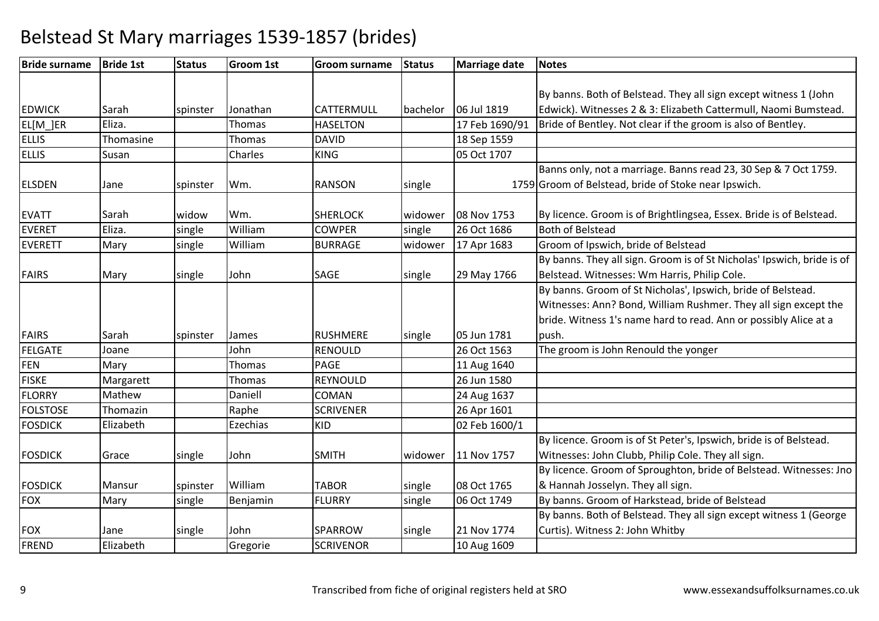| <b>Bride surname</b> | <b>Bride 1st</b> | <b>Status</b> | <b>Groom 1st</b> | <b>Groom surname</b> | <b>Status</b> | Marriage date  | <b>Notes</b>                                                           |
|----------------------|------------------|---------------|------------------|----------------------|---------------|----------------|------------------------------------------------------------------------|
|                      |                  |               |                  |                      |               |                |                                                                        |
|                      |                  |               |                  |                      |               |                | By banns. Both of Belstead. They all sign except witness 1 (John       |
| <b>EDWICK</b>        | Sarah            | spinster      | Jonathan         | CATTERMULL           | bachelor      | 06 Jul 1819    | Edwick). Witnesses 2 & 3: Elizabeth Cattermull, Naomi Bumstead.        |
| EL[M_]ER             | Eliza.           |               | <b>Thomas</b>    | <b>HASELTON</b>      |               | 17 Feb 1690/91 | Bride of Bentley. Not clear if the groom is also of Bentley.           |
| <b>ELLIS</b>         | Thomasine        |               | <b>Thomas</b>    | <b>DAVID</b>         |               | 18 Sep 1559    |                                                                        |
| <b>ELLIS</b>         | Susan            |               | Charles          | <b>KING</b>          |               | 05 Oct 1707    |                                                                        |
|                      |                  |               |                  |                      |               |                | Banns only, not a marriage. Banns read 23, 30 Sep & 7 Oct 1759.        |
| <b>ELSDEN</b>        | Jane             | spinster      | Wm.              | <b>RANSON</b>        | single        |                | 1759 Groom of Belstead, bride of Stoke near Ipswich.                   |
|                      |                  |               |                  |                      |               |                |                                                                        |
| <b>EVATT</b>         | Sarah            | widow         | Wm.              | <b>SHERLOCK</b>      | widower       | 08 Nov 1753    | By licence. Groom is of Brightlingsea, Essex. Bride is of Belstead.    |
| <b>EVERET</b>        | Eliza.           | single        | William          | <b>COWPER</b>        | single        | 26 Oct 1686    | <b>Both of Belstead</b>                                                |
| <b>EVERETT</b>       | Mary             | single        | William          | <b>BURRAGE</b>       | widower       | 17 Apr 1683    | Groom of Ipswich, bride of Belstead                                    |
|                      |                  |               |                  |                      |               |                | By banns. They all sign. Groom is of St Nicholas' Ipswich, bride is of |
| <b>FAIRS</b>         | Mary             | single        | John             | <b>SAGE</b>          | single        | 29 May 1766    | Belstead. Witnesses: Wm Harris, Philip Cole.                           |
|                      |                  |               |                  |                      |               |                | By banns. Groom of St Nicholas', Ipswich, bride of Belstead.           |
|                      |                  |               |                  |                      |               |                | Witnesses: Ann? Bond, William Rushmer. They all sign except the        |
|                      |                  |               |                  |                      |               |                | bride. Witness 1's name hard to read. Ann or possibly Alice at a       |
| <b>FAIRS</b>         | Sarah            | spinster      | James            | <b>RUSHMERE</b>      | single        | 05 Jun 1781    | push.                                                                  |
| <b>FELGATE</b>       | Joane            |               | John             | RENOULD              |               | 26 Oct 1563    | The groom is John Renould the yonger                                   |
| <b>FEN</b>           | Mary             |               | Thomas           | <b>PAGE</b>          |               | 11 Aug 1640    |                                                                        |
| <b>FISKE</b>         | Margarett        |               | Thomas           | <b>REYNOULD</b>      |               | 26 Jun 1580    |                                                                        |
| <b>FLORRY</b>        | Mathew           |               | Daniell          | COMAN                |               | 24 Aug 1637    |                                                                        |
| <b>FOLSTOSE</b>      | Thomazin         |               | Raphe            | <b>SCRIVENER</b>     |               | 26 Apr 1601    |                                                                        |
| <b>FOSDICK</b>       | Elizabeth        |               | Ezechias         | <b>KID</b>           |               | 02 Feb 1600/1  |                                                                        |
|                      |                  |               |                  |                      |               |                | By licence. Groom is of St Peter's, Ipswich, bride is of Belstead.     |
| <b>FOSDICK</b>       | Grace            | single        | John             | <b>SMITH</b>         | widower       | 11 Nov 1757    | Witnesses: John Clubb, Philip Cole. They all sign.                     |
|                      |                  |               |                  |                      |               |                | By licence. Groom of Sproughton, bride of Belstead. Witnesses: Jno     |
| <b>FOSDICK</b>       | Mansur           | spinster      | William          | <b>TABOR</b>         | single        | 08 Oct 1765    | & Hannah Josselyn. They all sign.                                      |
| <b>FOX</b>           | Mary             | single        | Benjamin         | <b>FLURRY</b>        | single        | 06 Oct 1749    | By banns. Groom of Harkstead, bride of Belstead                        |
|                      |                  |               |                  |                      |               |                | By banns. Both of Belstead. They all sign except witness 1 (George     |
| <b>FOX</b>           | Jane             | single        | John             | <b>SPARROW</b>       | single        | 21 Nov 1774    | Curtis). Witness 2: John Whitby                                        |
| <b>FREND</b>         | Elizabeth        |               | Gregorie         | <b>SCRIVENOR</b>     |               | 10 Aug 1609    |                                                                        |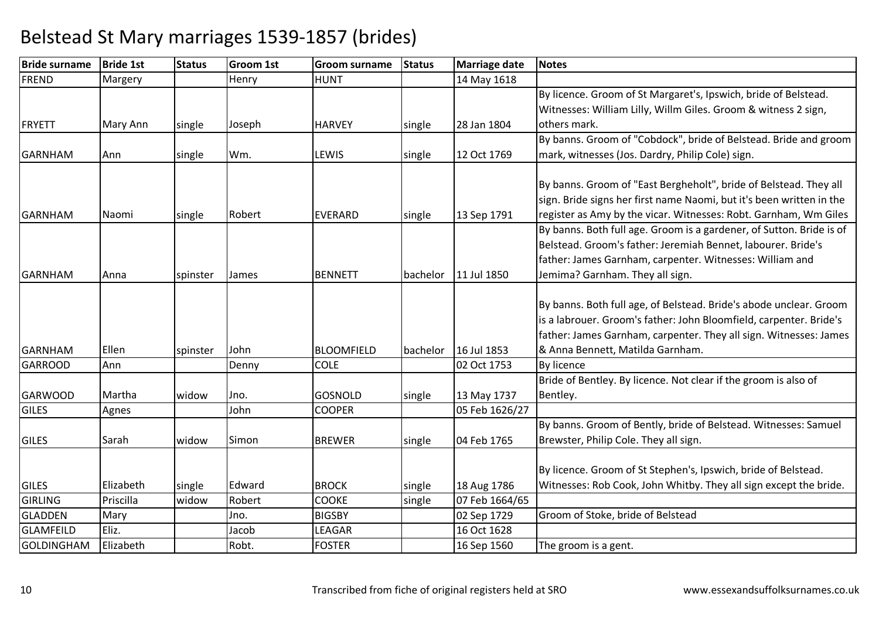| <b>Bride surname</b> | <b>Bride 1st</b> | <b>Status</b> | <b>Groom 1st</b> | <b>Groom surname</b> | <b>Status</b> | Marriage date  | <b>Notes</b>                                                         |
|----------------------|------------------|---------------|------------------|----------------------|---------------|----------------|----------------------------------------------------------------------|
| <b>FREND</b>         | Margery          |               | Henry            | <b>HUNT</b>          |               | 14 May 1618    |                                                                      |
|                      |                  |               |                  |                      |               |                | By licence. Groom of St Margaret's, Ipswich, bride of Belstead.      |
|                      |                  |               |                  |                      |               |                | Witnesses: William Lilly, Willm Giles. Groom & witness 2 sign,       |
| <b>FRYETT</b>        | Mary Ann         | single        | Joseph           | <b>HARVEY</b>        | single        | 28 Jan 1804    | others mark.                                                         |
|                      |                  |               |                  |                      |               |                | By banns. Groom of "Cobdock", bride of Belstead. Bride and groom     |
| <b>GARNHAM</b>       | Ann              | single        | Wm.              | LEWIS                | single        | 12 Oct 1769    | mark, witnesses (Jos. Dardry, Philip Cole) sign.                     |
|                      |                  |               |                  |                      |               |                |                                                                      |
|                      |                  |               |                  |                      |               |                | By banns. Groom of "East Bergheholt", bride of Belstead. They all    |
|                      |                  |               |                  |                      |               |                | sign. Bride signs her first name Naomi, but it's been written in the |
| <b>GARNHAM</b>       | Naomi            | single        | Robert           | <b>EVERARD</b>       | single        | 13 Sep 1791    | register as Amy by the vicar. Witnesses: Robt. Garnham, Wm Giles     |
|                      |                  |               |                  |                      |               |                | By banns. Both full age. Groom is a gardener, of Sutton. Bride is of |
|                      |                  |               |                  |                      |               |                | Belstead. Groom's father: Jeremiah Bennet, labourer. Bride's         |
|                      |                  |               |                  |                      |               |                | father: James Garnham, carpenter. Witnesses: William and             |
| <b>GARNHAM</b>       | Anna             | spinster      | James            | <b>BENNETT</b>       | bachelor      | 11 Jul 1850    | Jemima? Garnham. They all sign.                                      |
|                      |                  |               |                  |                      |               |                |                                                                      |
|                      |                  |               |                  |                      |               |                | By banns. Both full age, of Belstead. Bride's abode unclear. Groom   |
|                      |                  |               |                  |                      |               |                | is a labrouer. Groom's father: John Bloomfield, carpenter. Bride's   |
|                      |                  |               |                  |                      |               |                | father: James Garnham, carpenter. They all sign. Witnesses: James    |
| GARNHAM              | Ellen            | spinster      | John             | <b>BLOOMFIELD</b>    | bachelor      | 16 Jul 1853    | & Anna Bennett, Matilda Garnham.                                     |
| <b>GARROOD</b>       | Ann              |               | Denny            | <b>COLE</b>          |               | 02 Oct 1753    | <b>By licence</b>                                                    |
|                      |                  |               |                  |                      |               |                | Bride of Bentley. By licence. Not clear if the groom is also of      |
| <b>GARWOOD</b>       | Martha           | widow         | Jno.             | <b>GOSNOLD</b>       | single        | 13 May 1737    | Bentley.                                                             |
| <b>GILES</b>         | Agnes            |               | John             | <b>COOPER</b>        |               | 05 Feb 1626/27 |                                                                      |
|                      |                  |               |                  |                      |               |                | By banns. Groom of Bently, bride of Belstead. Witnesses: Samuel      |
| <b>GILES</b>         | Sarah            | widow         | Simon            | <b>BREWER</b>        | single        | 04 Feb 1765    | Brewster, Philip Cole. They all sign.                                |
|                      |                  |               |                  |                      |               |                | By licence. Groom of St Stephen's, Ipswich, bride of Belstead.       |
|                      |                  |               |                  |                      |               |                |                                                                      |
| <b>GILES</b>         | Elizabeth        | single        | Edward           | <b>BROCK</b>         | single        | 18 Aug 1786    | Witnesses: Rob Cook, John Whitby. They all sign except the bride.    |
| <b>GIRLING</b>       | Priscilla        | widow         | Robert           | <b>COOKE</b>         | single        | 07 Feb 1664/65 |                                                                      |
| <b>GLADDEN</b>       | Mary             |               | Jno.             | <b>BIGSBY</b>        |               | 02 Sep 1729    | Groom of Stoke, bride of Belstead                                    |
| <b>GLAMFEILD</b>     | Eliz.            |               | Jacob            | LEAGAR               |               | 16 Oct 1628    |                                                                      |
| GOLDINGHAM           | Elizabeth        |               | Robt.            | <b>FOSTER</b>        |               | 16 Sep 1560    | The groom is a gent.                                                 |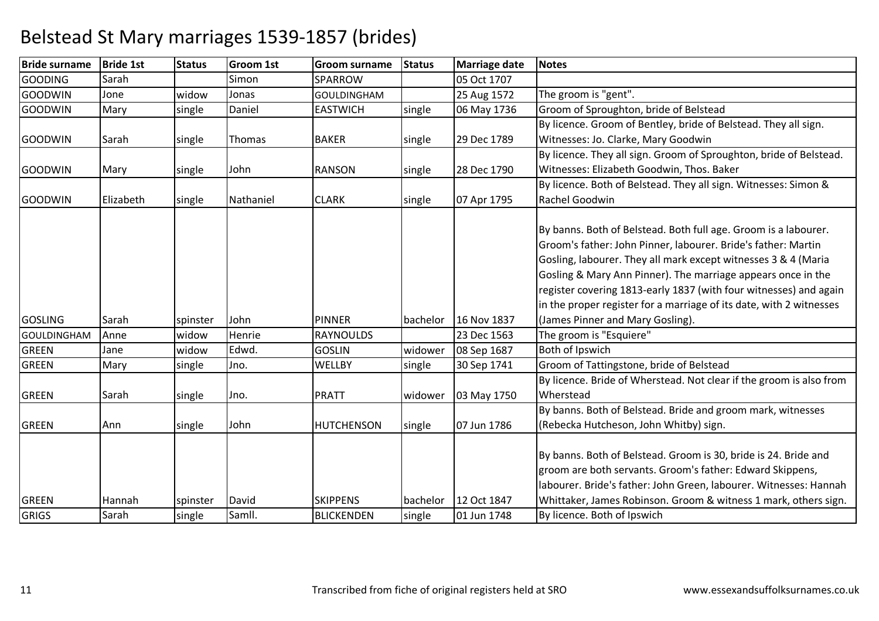| <b>Bride surname</b> | <b>Bride 1st</b> | <b>Status</b> | <b>Groom 1st</b> | <b>Groom surname</b> | <b>Status</b> | <b>Marriage date</b> | <b>Notes</b>                                                        |
|----------------------|------------------|---------------|------------------|----------------------|---------------|----------------------|---------------------------------------------------------------------|
| <b>GOODING</b>       | Sarah            |               | Simon            | <b>SPARROW</b>       |               | 05 Oct 1707          |                                                                     |
| <b>GOODWIN</b>       | Jone             | widow         | Jonas            | <b>GOULDINGHAM</b>   |               | 25 Aug 1572          | The groom is "gent".                                                |
| <b>GOODWIN</b>       | Mary             | single        | Daniel           | <b>EASTWICH</b>      | single        | 06 May 1736          | Groom of Sproughton, bride of Belstead                              |
|                      |                  |               |                  |                      |               |                      | By licence. Groom of Bentley, bride of Belstead. They all sign.     |
| <b>GOODWIN</b>       | Sarah            | single        | Thomas           | <b>BAKER</b>         | single        | 29 Dec 1789          | Witnesses: Jo. Clarke, Mary Goodwin                                 |
|                      |                  |               |                  |                      |               |                      | By licence. They all sign. Groom of Sproughton, bride of Belstead.  |
| <b>GOODWIN</b>       | Mary             | single        | John             | <b>RANSON</b>        | single        | 28 Dec 1790          | Witnesses: Elizabeth Goodwin, Thos. Baker                           |
|                      |                  |               |                  |                      |               |                      | By licence. Both of Belstead. They all sign. Witnesses: Simon &     |
| GOODWIN              | Elizabeth        | single        | Nathaniel        | <b>CLARK</b>         | single        | 07 Apr 1795          | Rachel Goodwin                                                      |
|                      |                  |               |                  |                      |               |                      |                                                                     |
|                      |                  |               |                  |                      |               |                      | By banns. Both of Belstead. Both full age. Groom is a labourer.     |
|                      |                  |               |                  |                      |               |                      | Groom's father: John Pinner, labourer. Bride's father: Martin       |
|                      |                  |               |                  |                      |               |                      | Gosling, labourer. They all mark except witnesses 3 & 4 (Maria      |
|                      |                  |               |                  |                      |               |                      | Gosling & Mary Ann Pinner). The marriage appears once in the        |
|                      |                  |               |                  |                      |               |                      | register covering 1813-early 1837 (with four witnesses) and again   |
|                      |                  |               |                  |                      |               |                      | in the proper register for a marriage of its date, with 2 witnesses |
| <b>GOSLING</b>       | Sarah            | spinster      | John             | <b>PINNER</b>        | bachelor      | 16 Nov 1837          | (James Pinner and Mary Gosling).                                    |
| <b>GOULDINGHAM</b>   | Anne             | widow         | Henrie           | <b>RAYNOULDS</b>     |               | 23 Dec 1563          | The groom is "Esquiere"                                             |
| <b>GREEN</b>         | Jane             | widow         | Edwd.            | <b>GOSLIN</b>        | widower       | 08 Sep 1687          | Both of Ipswich                                                     |
| <b>GREEN</b>         | Mary             | single        | Jno.             | <b>WELLBY</b>        | single        | 30 Sep 1741          | Groom of Tattingstone, bride of Belstead                            |
|                      |                  |               |                  |                      |               |                      | By licence. Bride of Wherstead. Not clear if the groom is also from |
| <b>GREEN</b>         | Sarah            | single        | Jno.             | PRATT                | widower       | 03 May 1750          | Wherstead                                                           |
|                      |                  |               |                  |                      |               |                      | By banns. Both of Belstead. Bride and groom mark, witnesses         |
| <b>GREEN</b>         | Ann              | single        | John             | <b>HUTCHENSON</b>    | single        | 07 Jun 1786          | (Rebecka Hutcheson, John Whitby) sign.                              |
|                      |                  |               |                  |                      |               |                      |                                                                     |
|                      |                  |               |                  |                      |               |                      | By banns. Both of Belstead. Groom is 30, bride is 24. Bride and     |
|                      |                  |               |                  |                      |               |                      | groom are both servants. Groom's father: Edward Skippens,           |
|                      |                  |               |                  |                      |               |                      | labourer. Bride's father: John Green, labourer. Witnesses: Hannah   |
| <b>GREEN</b>         | Hannah           | spinster      | David            | <b>SKIPPENS</b>      | bachelor      | 12 Oct 1847          | Whittaker, James Robinson. Groom & witness 1 mark, others sign.     |
| <b>GRIGS</b>         | Sarah            | single        | Samll.           | <b>BLICKENDEN</b>    | single        | 01 Jun 1748          | By licence. Both of Ipswich                                         |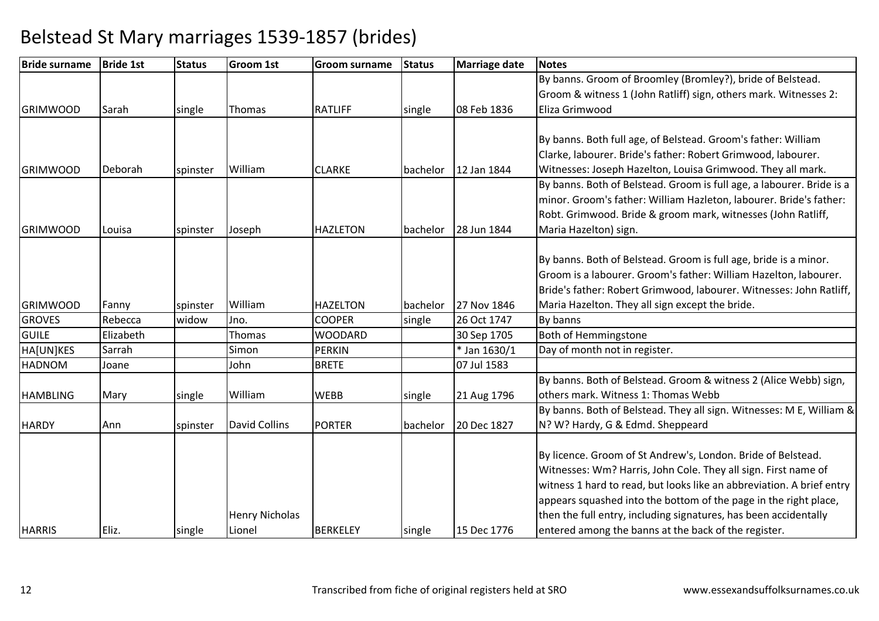| <b>Bride surname</b> | <b>Bride 1st</b> | <b>Status</b> | <b>Groom 1st</b>      | <b>Groom surname</b> | <b>Status</b> | Marriage date | <b>Notes</b>                                                          |
|----------------------|------------------|---------------|-----------------------|----------------------|---------------|---------------|-----------------------------------------------------------------------|
|                      |                  |               |                       |                      |               |               | By banns. Groom of Broomley (Bromley?), bride of Belstead.            |
|                      |                  |               |                       |                      |               |               | Groom & witness 1 (John Ratliff) sign, others mark. Witnesses 2:      |
| <b>GRIMWOOD</b>      | Sarah            | single        | Thomas                | <b>RATLIFF</b>       | single        | 08 Feb 1836   | Eliza Grimwood                                                        |
|                      |                  |               |                       |                      |               |               |                                                                       |
|                      |                  |               |                       |                      |               |               | By banns. Both full age, of Belstead. Groom's father: William         |
|                      |                  |               |                       |                      |               |               | Clarke, labourer. Bride's father: Robert Grimwood, labourer.          |
| <b>GRIMWOOD</b>      | Deborah          | spinster      | William               | <b>CLARKE</b>        | bachelor      | 12 Jan 1844   | Witnesses: Joseph Hazelton, Louisa Grimwood. They all mark.           |
|                      |                  |               |                       |                      |               |               | By banns. Both of Belstead. Groom is full age, a labourer. Bride is a |
|                      |                  |               |                       |                      |               |               | minor. Groom's father: William Hazleton, labourer. Bride's father:    |
|                      |                  |               |                       |                      |               |               | Robt. Grimwood. Bride & groom mark, witnesses (John Ratliff,          |
| <b>GRIMWOOD</b>      | Louisa           | spinster      | Joseph                | <b>HAZLETON</b>      | bachelor      | 28 Jun 1844   | Maria Hazelton) sign.                                                 |
|                      |                  |               |                       |                      |               |               |                                                                       |
|                      |                  |               |                       |                      |               |               | By banns. Both of Belstead. Groom is full age, bride is a minor.      |
|                      |                  |               |                       |                      |               |               | Groom is a labourer. Groom's father: William Hazelton, labourer.      |
|                      |                  |               |                       |                      |               |               | Bride's father: Robert Grimwood, labourer. Witnesses: John Ratliff,   |
| <b>GRIMWOOD</b>      | Fanny            | spinster      | William               | <b>HAZELTON</b>      | bachelor      | 27 Nov 1846   | Maria Hazelton. They all sign except the bride.                       |
| <b>GROVES</b>        | Rebecca          | widow         | Jno.                  | <b>COOPER</b>        | single        | 26 Oct 1747   | By banns                                                              |
| <b>GUILE</b>         | Elizabeth        |               | Thomas                | <b>WOODARD</b>       |               | 30 Sep 1705   | Both of Hemmingstone                                                  |
| HA[UN]KES            | Sarrah           |               | Simon                 | <b>PERKIN</b>        |               | * Jan 1630/1  | Day of month not in register.                                         |
| <b>HADNOM</b>        | Joane            |               | John                  | <b>BRETE</b>         |               | 07 Jul 1583   |                                                                       |
|                      |                  |               |                       |                      |               |               | By banns. Both of Belstead. Groom & witness 2 (Alice Webb) sign,      |
| <b>HAMBLING</b>      | Mary             | single        | William               | <b>WEBB</b>          | single        | 21 Aug 1796   | others mark. Witness 1: Thomas Webb                                   |
|                      |                  |               |                       |                      |               |               | By banns. Both of Belstead. They all sign. Witnesses: M E, William &  |
| <b>HARDY</b>         | Ann              | spinster      | <b>David Collins</b>  | <b>PORTER</b>        | bachelor      | 20 Dec 1827   | N? W? Hardy, G & Edmd. Sheppeard                                      |
|                      |                  |               |                       |                      |               |               |                                                                       |
|                      |                  |               |                       |                      |               |               | By licence. Groom of St Andrew's, London. Bride of Belstead.          |
|                      |                  |               |                       |                      |               |               | Witnesses: Wm? Harris, John Cole. They all sign. First name of        |
|                      |                  |               |                       |                      |               |               | witness 1 hard to read, but looks like an abbreviation. A brief entry |
|                      |                  |               |                       |                      |               |               | appears squashed into the bottom of the page in the right place,      |
|                      |                  |               | <b>Henry Nicholas</b> |                      |               |               | then the full entry, including signatures, has been accidentally      |
| <b>HARRIS</b>        | Eliz.            | single        | Lionel                | <b>BERKELEY</b>      | single        | 15 Dec 1776   | entered among the banns at the back of the register.                  |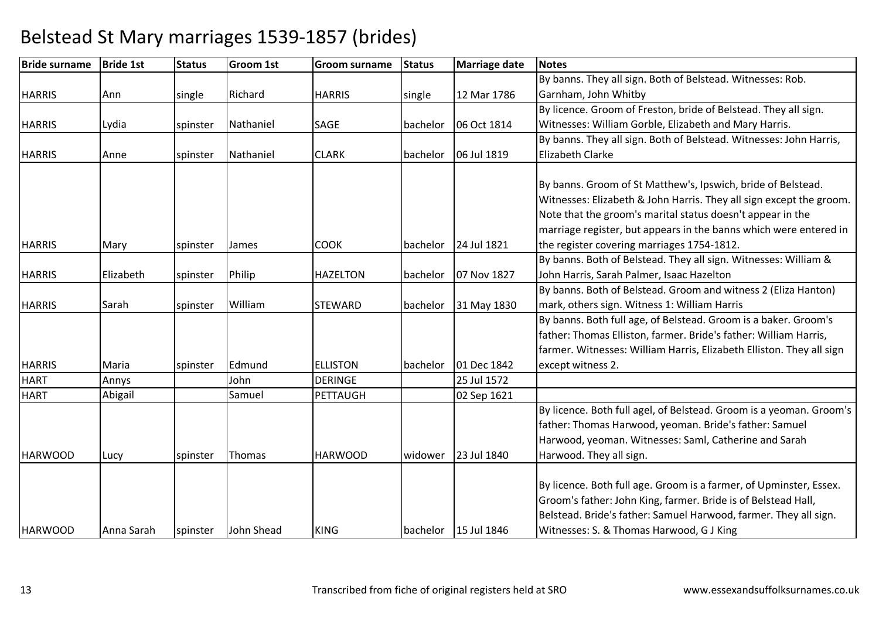#### **Bride surname Bride 1st Status Groom 1st Groom surname Status Marriage date Notes HARRIS**  Annn compared a single Richard HARRIS single 12 Mar 1786 By banns. They all sign. Both of Belstead. Witnesses: Rob. Garnham, John Whitby By licence. Groom of Freston, bride of Belstead. They all sign. **HARRIS** S Lydia Spinster Nathaniel SAGE bachelor 06 Oct 1814 Witnesses: William Gorble, Elizabeth and Mary Harris.**HARRIS**  Annee 1991 spinster Nathaniel CLARK bachelor 06 Jul 1819 By banns. They all sign. Both of Belstead. Witnesses: John Harris, Elizabeth Clarke**HARRIS** S Mary Spinster James COOK bachelor 24 Jul 1821 By banns. Groom of St Matthew's, Ipswich, bride of Belstead. Witnesses: Elizabeth & John Harris. They all sign except the groom. Note that the groom's marital status doesn't appear in the marriage register, but appears in the banns which were entered in the register covering marriages 1754-1812.**HARRIS**  Elizabethh spinster Philip HAZELTON bachelor 07 Nov 1827 By banns. Both of Belstead. They all sign. Witnesses: William & John Harris, Sarah Palmer, Isaac Hazelton By banns. Both of Belstead. Groom and witness 2 (Eliza Hanton) **HARRIS**  Sarah spinster WilliamSTEWARD | bachelor 31 May 1830 mark, others sign. Witness 1: William Harris By banns. Both full age, of Belstead. Groom is a baker. Groom's **HARRIS** Maria **Spinster** Edmund **ELLISTON** bachelor 01 Dec 1842<br>DERINGE 25 Jul 1572 n DERINGE 25 Jul 1572 father: Thomas Elliston, farmer. Bride's father: William Harris, farmer. Witnesses: William Harris, Elizabeth Elliston. They all sign except witness 2.HART Annys John 02 Sep 1621 **HART** T Abigail | Samuel PETTAUGH **HARWOOD** D Lucy Spinster Thomas HARWOOD widower 23 Jul 1840 By licence. Both full agel, of Belstead. Groom is a yeoman. Groom's father: Thomas Harwood, yeoman. Bride's father: Samuel Harwood, yeoman. Witnesses: Saml, Catherine and Sarah Harwood. They all sign.HARWOODD | Anna Sarah | spinster | John Shead | KING | bachelor | 15 Jul 1846 By licence. Both full age. Groom is a farmer, of Upminster, Essex. Groom's father: John King, farmer. Bride is of Belstead Hall, Belstead. Bride's father: Samuel Harwood, farmer. They all sign. Witnesses: S. & Thomas Harwood, G J King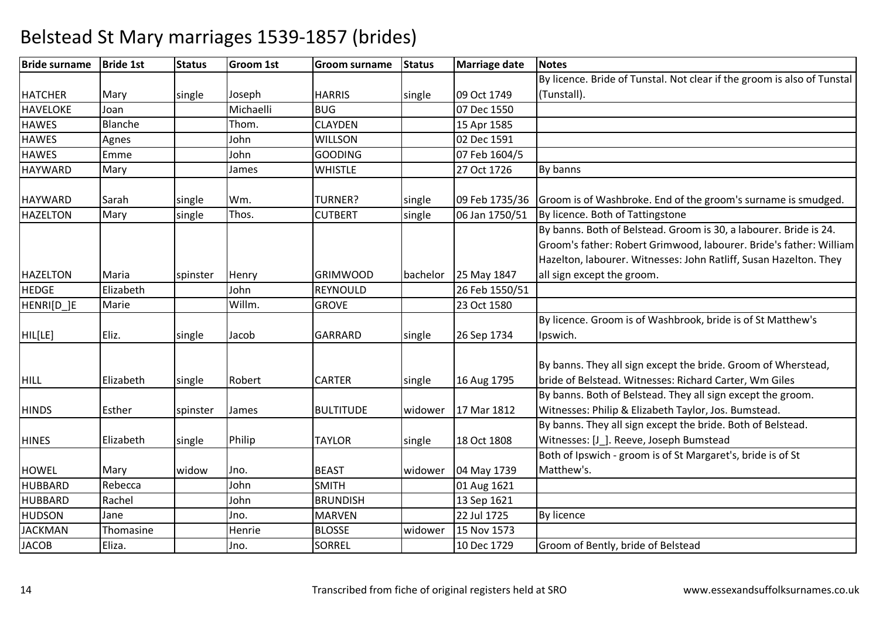| <b>Bride surname</b> | <b>Bride 1st</b> | <b>Status</b> | <b>Groom 1st</b> | <b>Groom surname</b> | <b>Status</b> | Marriage date  | <b>Notes</b>                                                            |
|----------------------|------------------|---------------|------------------|----------------------|---------------|----------------|-------------------------------------------------------------------------|
|                      |                  |               |                  |                      |               |                | By licence. Bride of Tunstal. Not clear if the groom is also of Tunstal |
| <b>HATCHER</b>       | Mary             | single        | Joseph           | <b>HARRIS</b>        | single        | 09 Oct 1749    | (Tunstall).                                                             |
| <b>HAVELOKE</b>      | Joan             |               | Michaelli        | <b>BUG</b>           |               | 07 Dec 1550    |                                                                         |
| <b>HAWES</b>         | Blanche          |               | Thom.            | <b>CLAYDEN</b>       |               | 15 Apr 1585    |                                                                         |
| <b>HAWES</b>         | Agnes            |               | John             | <b>WILLSON</b>       |               | 02 Dec 1591    |                                                                         |
| <b>HAWES</b>         | Emme             |               | John             | <b>GOODING</b>       |               | 07 Feb 1604/5  |                                                                         |
| <b>HAYWARD</b>       | Mary             |               | James            | <b>WHISTLE</b>       |               | 27 Oct 1726    | By banns                                                                |
| <b>HAYWARD</b>       | Sarah            | single        | Wm.              | TURNER?              | single        | 09 Feb 1735/36 | Groom is of Washbroke. End of the groom's surname is smudged.           |
| <b>HAZELTON</b>      | Mary             | single        | Thos.            | <b>CUTBERT</b>       | single        | 06 Jan 1750/51 | By licence. Both of Tattingstone                                        |
|                      |                  |               |                  |                      |               |                | By banns. Both of Belstead. Groom is 30, a labourer. Bride is 24.       |
|                      |                  |               |                  |                      |               |                | Groom's father: Robert Grimwood, labourer. Bride's father: William      |
|                      |                  |               |                  |                      |               |                | Hazelton, labourer. Witnesses: John Ratliff, Susan Hazelton. They       |
| <b>HAZELTON</b>      | Maria            | spinster      | Henry            | <b>GRIMWOOD</b>      | bachelor      | 25 May 1847    | all sign except the groom.                                              |
| <b>HEDGE</b>         | Elizabeth        |               | John             | <b>REYNOULD</b>      |               | 26 Feb 1550/51 |                                                                         |
| HENRI[D_]E           | Marie            |               | Willm.           | <b>GROVE</b>         |               | 23 Oct 1580    |                                                                         |
|                      |                  |               |                  |                      |               |                | By licence. Groom is of Washbrook, bride is of St Matthew's             |
| HIL[LE]              | Eliz.            | single        | Jacob            | <b>GARRARD</b>       | single        | 26 Sep 1734    | Ipswich.                                                                |
|                      |                  |               |                  |                      |               |                |                                                                         |
|                      |                  |               |                  |                      |               |                | By banns. They all sign except the bride. Groom of Wherstead,           |
| <b>HILL</b>          | Elizabeth        | single        | Robert           | <b>CARTER</b>        | single        | 16 Aug 1795    | bride of Belstead. Witnesses: Richard Carter, Wm Giles                  |
|                      |                  |               |                  |                      |               |                | By banns. Both of Belstead. They all sign except the groom.             |
| <b>HINDS</b>         | Esther           | spinster      | James            | <b>BULTITUDE</b>     | widower       | 17 Mar 1812    | Witnesses: Philip & Elizabeth Taylor, Jos. Bumstead.                    |
|                      |                  |               |                  |                      |               |                | By banns. They all sign except the bride. Both of Belstead.             |
| <b>HINES</b>         | Elizabeth        | single        | Philip           | <b>TAYLOR</b>        | single        | 18 Oct 1808    | Witnesses: [J_]. Reeve, Joseph Bumstead                                 |
|                      |                  |               |                  |                      |               |                | Both of Ipswich - groom is of St Margaret's, bride is of St             |
| <b>HOWEL</b>         | Mary             | widow         | Jno.             | <b>BEAST</b>         | widower       | 04 May 1739    | Matthew's.                                                              |
| <b>HUBBARD</b>       | Rebecca          |               | John             | <b>SMITH</b>         |               | 01 Aug 1621    |                                                                         |
| <b>HUBBARD</b>       | Rachel           |               | John             | <b>BRUNDISH</b>      |               | 13 Sep 1621    |                                                                         |
| <b>HUDSON</b>        | Jane             |               | Jno.             | <b>MARVEN</b>        |               | 22 Jul 1725    | <b>By licence</b>                                                       |
| <b>JACKMAN</b>       | Thomasine        |               | Henrie           | <b>BLOSSE</b>        | widower       | 15 Nov 1573    |                                                                         |
| <b>JACOB</b>         | Eliza.           |               | Jno.             | <b>SORREL</b>        |               | 10 Dec 1729    | Groom of Bently, bride of Belstead                                      |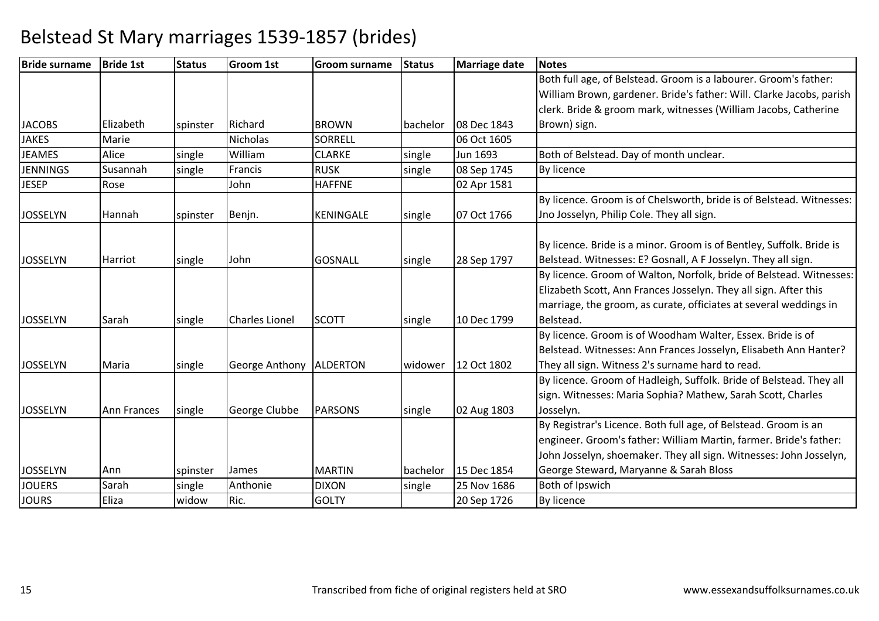| <b>Bride surname</b> | <b>Bride 1st</b>   | <b>Status</b> | <b>Groom 1st</b>          | <b>Groom surname</b> | <b>Status</b> | Marriage date | <b>Notes</b>                                                         |
|----------------------|--------------------|---------------|---------------------------|----------------------|---------------|---------------|----------------------------------------------------------------------|
|                      |                    |               |                           |                      |               |               | Both full age, of Belstead. Groom is a labourer. Groom's father:     |
|                      |                    |               |                           |                      |               |               | William Brown, gardener. Bride's father: Will. Clarke Jacobs, parish |
|                      |                    |               |                           |                      |               |               | clerk. Bride & groom mark, witnesses (William Jacobs, Catherine      |
| <b>JACOBS</b>        | Elizabeth          | spinster      | Richard                   | <b>BROWN</b>         | bachelor      | 08 Dec 1843   | Brown) sign.                                                         |
| <b>JAKES</b>         | Marie              |               | <b>Nicholas</b>           | <b>SORRELL</b>       |               | 06 Oct 1605   |                                                                      |
| <b>JEAMES</b>        | Alice              | single        | William                   | <b>CLARKE</b>        | single        | Jun 1693      | Both of Belstead. Day of month unclear.                              |
| <b>JENNINGS</b>      | Susannah           | single        | Francis                   | <b>RUSK</b>          | single        | 08 Sep 1745   | <b>By licence</b>                                                    |
| <b>JESEP</b>         | Rose               |               | John                      | <b>HAFFNE</b>        |               | 02 Apr 1581   |                                                                      |
|                      |                    |               |                           |                      |               |               | By licence. Groom is of Chelsworth, bride is of Belstead. Witnesses: |
| <b>JOSSELYN</b>      | Hannah             | spinster      | Benjn.                    | KENINGALE            | single        | 07 Oct 1766   | Jno Josselyn, Philip Cole. They all sign.                            |
|                      |                    |               |                           |                      |               |               |                                                                      |
|                      |                    |               |                           |                      |               |               | By licence. Bride is a minor. Groom is of Bentley, Suffolk. Bride is |
| <b>JOSSELYN</b>      | Harriot            | single        | John                      | <b>GOSNALL</b>       | single        | 28 Sep 1797   | Belstead. Witnesses: E? Gosnall, A F Josselyn. They all sign.        |
|                      |                    |               |                           |                      |               |               | By licence. Groom of Walton, Norfolk, bride of Belstead. Witnesses:  |
|                      |                    |               |                           |                      |               |               | Elizabeth Scott, Ann Frances Josselyn. They all sign. After this     |
|                      |                    |               |                           |                      |               |               | marriage, the groom, as curate, officiates at several weddings in    |
| <b>JOSSELYN</b>      | Sarah              | single        | <b>Charles Lionel</b>     | <b>SCOTT</b>         | single        | 10 Dec 1799   | Belstead.                                                            |
|                      |                    |               |                           |                      |               |               | By licence. Groom is of Woodham Walter, Essex. Bride is of           |
|                      |                    |               |                           |                      |               |               | Belstead. Witnesses: Ann Frances Josselyn, Elisabeth Ann Hanter?     |
| <b>JOSSELYN</b>      | Maria              | single        | George Anthony   ALDERTON |                      | widower       | 12 Oct 1802   | They all sign. Witness 2's surname hard to read.                     |
|                      |                    |               |                           |                      |               |               | By licence. Groom of Hadleigh, Suffolk. Bride of Belstead. They all  |
|                      |                    |               |                           |                      |               |               | sign. Witnesses: Maria Sophia? Mathew, Sarah Scott, Charles          |
| <b>JOSSELYN</b>      | <b>Ann Frances</b> | single        | George Clubbe             | <b>PARSONS</b>       | single        | 02 Aug 1803   | Josselyn.                                                            |
|                      |                    |               |                           |                      |               |               | By Registrar's Licence. Both full age, of Belstead. Groom is an      |
|                      |                    |               |                           |                      |               |               | engineer. Groom's father: William Martin, farmer. Bride's father:    |
|                      |                    |               |                           |                      |               |               | John Josselyn, shoemaker. They all sign. Witnesses: John Josselyn,   |
| <b>JOSSELYN</b>      | Ann                | spinster      | James                     | <b>MARTIN</b>        | bachelor      | 15 Dec 1854   | George Steward, Maryanne & Sarah Bloss                               |
| <b>JOUERS</b>        | Sarah              | single        | Anthonie                  | <b>DIXON</b>         | single        | 25 Nov 1686   | Both of Ipswich                                                      |
| <b>JOURS</b>         | Eliza              | widow         | Ric.                      | <b>GOLTY</b>         |               | 20 Sep 1726   | By licence                                                           |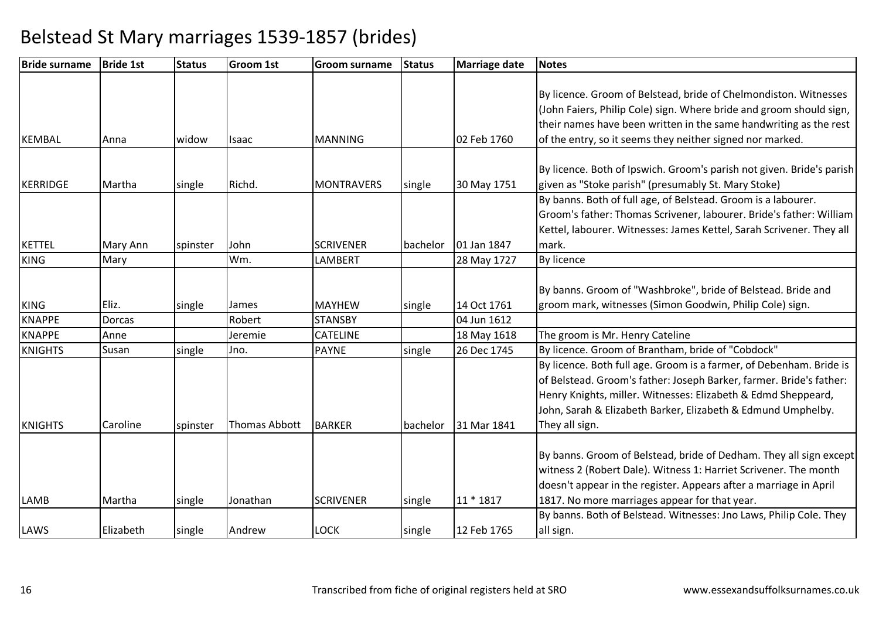| <b>Bride surname</b> | <b>Bride 1st</b> | <b>Status</b> | <b>Groom 1st</b> | <b>Groom surname</b> | <b>Status</b> | <b>Marriage date</b> | <b>Notes</b>                                                          |
|----------------------|------------------|---------------|------------------|----------------------|---------------|----------------------|-----------------------------------------------------------------------|
|                      |                  |               |                  |                      |               |                      |                                                                       |
|                      |                  |               |                  |                      |               |                      | By licence. Groom of Belstead, bride of Chelmondiston. Witnesses      |
|                      |                  |               |                  |                      |               |                      | (John Faiers, Philip Cole) sign. Where bride and groom should sign,   |
|                      |                  |               |                  |                      |               |                      | their names have been written in the same handwriting as the rest     |
| <b>KEMBAL</b>        | Anna             | widow         | Isaac            | <b>MANNING</b>       |               | 02 Feb 1760          | of the entry, so it seems they neither signed nor marked.             |
|                      |                  |               |                  |                      |               |                      | By licence. Both of Ipswich. Groom's parish not given. Bride's parish |
| <b>KERRIDGE</b>      | Martha           | single        | Richd.           | <b>MONTRAVERS</b>    | single        | 30 May 1751          | given as "Stoke parish" (presumably St. Mary Stoke)                   |
|                      |                  |               |                  |                      |               |                      | By banns. Both of full age, of Belstead. Groom is a labourer.         |
|                      |                  |               |                  |                      |               |                      | Groom's father: Thomas Scrivener, labourer. Bride's father: William   |
|                      |                  |               |                  |                      |               |                      | Kettel, labourer. Witnesses: James Kettel, Sarah Scrivener. They all  |
| <b>KETTEL</b>        | Mary Ann         |               | John             | <b>SCRIVENER</b>     | bachelor      | 01 Jan 1847          | mark.                                                                 |
| <b>KING</b>          | Mary             | spinster      | Wm.              | LAMBERT              |               |                      | <b>By licence</b>                                                     |
|                      |                  |               |                  |                      |               | 28 May 1727          |                                                                       |
|                      |                  |               |                  |                      |               |                      | By banns. Groom of "Washbroke", bride of Belstead. Bride and          |
| <b>KING</b>          | Eliz.            | single        | James            | <b>MAYHEW</b>        | single        | 14 Oct 1761          | groom mark, witnesses (Simon Goodwin, Philip Cole) sign.              |
| <b>KNAPPE</b>        | <b>Dorcas</b>    |               | Robert           | <b>STANSBY</b>       |               | 04 Jun 1612          |                                                                       |
| <b>KNAPPE</b>        | Anne             |               | Jeremie          | <b>CATELINE</b>      |               | 18 May 1618          | The groom is Mr. Henry Cateline                                       |
| <b>KNIGHTS</b>       | Susan            | single        | Jno.             | <b>PAYNE</b>         | single        | 26 Dec 1745          | By licence. Groom of Brantham, bride of "Cobdock"                     |
|                      |                  |               |                  |                      |               |                      | By licence. Both full age. Groom is a farmer, of Debenham. Bride is   |
|                      |                  |               |                  |                      |               |                      | of Belstead. Groom's father: Joseph Barker, farmer. Bride's father:   |
|                      |                  |               |                  |                      |               |                      | Henry Knights, miller. Witnesses: Elizabeth & Edmd Sheppeard,         |
|                      |                  |               |                  |                      |               |                      | John, Sarah & Elizabeth Barker, Elizabeth & Edmund Umphelby.          |
| <b>KNIGHTS</b>       | Caroline         | spinster      | Thomas Abbott    | <b>BARKER</b>        | bachelor      | 31 Mar 1841          | They all sign.                                                        |
|                      |                  |               |                  |                      |               |                      |                                                                       |
|                      |                  |               |                  |                      |               |                      | By banns. Groom of Belstead, bride of Dedham. They all sign except    |
|                      |                  |               |                  |                      |               |                      | witness 2 (Robert Dale). Witness 1: Harriet Scrivener. The month      |
|                      |                  |               |                  |                      |               |                      | doesn't appear in the register. Appears after a marriage in April     |
| <b>LAMB</b>          | Martha           | single        | Jonathan         | <b>SCRIVENER</b>     | single        | 11 * 1817            | 1817. No more marriages appear for that year.                         |
|                      |                  |               |                  |                      |               |                      | By banns. Both of Belstead. Witnesses: Jno Laws, Philip Cole. They    |
| LAWS                 | Elizabeth        | single        | Andrew           | <b>LOCK</b>          | single        | 12 Feb 1765          | all sign.                                                             |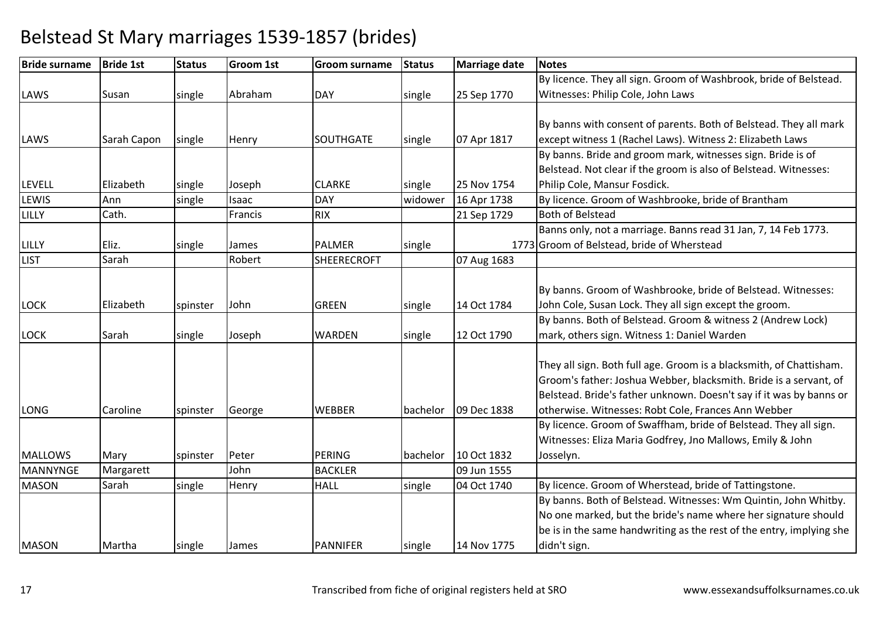| <b>Bride surname</b> | <b>Bride 1st</b> | <b>Status</b> | <b>Groom 1st</b> | <b>Groom surname</b> | <b>Status</b> | <b>Marriage date</b> | <b>Notes</b>                                                         |
|----------------------|------------------|---------------|------------------|----------------------|---------------|----------------------|----------------------------------------------------------------------|
|                      |                  |               |                  |                      |               |                      | By licence. They all sign. Groom of Washbrook, bride of Belstead.    |
| LAWS                 | Susan            | single        | Abraham          | <b>DAY</b>           | single        | 25 Sep 1770          | Witnesses: Philip Cole, John Laws                                    |
|                      |                  |               |                  |                      |               |                      |                                                                      |
|                      |                  |               |                  |                      |               |                      | By banns with consent of parents. Both of Belstead. They all mark    |
| LAWS                 | Sarah Capon      | single        | Henry            | <b>SOUTHGATE</b>     | single        | 07 Apr 1817          | except witness 1 (Rachel Laws). Witness 2: Elizabeth Laws            |
|                      |                  |               |                  |                      |               |                      | By banns. Bride and groom mark, witnesses sign. Bride is of          |
|                      |                  |               |                  |                      |               |                      | Belstead. Not clear if the groom is also of Belstead. Witnesses:     |
| <b>LEVELL</b>        | Elizabeth        | single        | Joseph           | <b>CLARKE</b>        | single        | 25 Nov 1754          | Philip Cole, Mansur Fosdick.                                         |
| <b>LEWIS</b>         | Ann              | single        | Isaac            | DAY                  | widower       | 16 Apr 1738          | By licence. Groom of Washbrooke, bride of Brantham                   |
| LILLY                | Cath.            |               | Francis          | <b>RIX</b>           |               | 21 Sep 1729          | <b>Both of Belstead</b>                                              |
|                      |                  |               |                  |                      |               |                      | Banns only, not a marriage. Banns read 31 Jan, 7, 14 Feb 1773.       |
| LILLY                | Eliz.            | single        | James            | <b>PALMER</b>        | single        |                      | 1773 Groom of Belstead, bride of Wherstead                           |
| <b>LIST</b>          | Sarah            |               | Robert           | <b>SHEERECROFT</b>   |               | 07 Aug 1683          |                                                                      |
|                      |                  |               |                  |                      |               |                      |                                                                      |
|                      |                  |               |                  |                      |               |                      | By banns. Groom of Washbrooke, bride of Belstead. Witnesses:         |
| LOCK                 | Elizabeth        | spinster      | John             | <b>GREEN</b>         | single        | 14 Oct 1784          | John Cole, Susan Lock. They all sign except the groom.               |
|                      |                  |               |                  |                      |               |                      | By banns. Both of Belstead. Groom & witness 2 (Andrew Lock)          |
| LOCK                 | Sarah            | single        | Joseph           | <b>WARDEN</b>        | single        | 12 Oct 1790          | mark, others sign. Witness 1: Daniel Warden                          |
|                      |                  |               |                  |                      |               |                      |                                                                      |
|                      |                  |               |                  |                      |               |                      | They all sign. Both full age. Groom is a blacksmith, of Chattisham.  |
|                      |                  |               |                  |                      |               |                      | Groom's father: Joshua Webber, blacksmith. Bride is a servant, of    |
|                      |                  |               |                  |                      |               |                      | Belstead. Bride's father unknown. Doesn't say if it was by banns or  |
| LONG                 | Caroline         | spinster      | George           | <b>WEBBER</b>        | bachelor      | 09 Dec 1838          | otherwise. Witnesses: Robt Cole, Frances Ann Webber                  |
|                      |                  |               |                  |                      |               |                      | By licence. Groom of Swaffham, bride of Belstead. They all sign.     |
|                      |                  |               |                  |                      |               |                      | Witnesses: Eliza Maria Godfrey, Jno Mallows, Emily & John            |
| <b>MALLOWS</b>       | Mary             | spinster      | Peter            | PERING               | bachelor      | 10 Oct 1832          | Josselyn.                                                            |
| MANNYNGE             | Margarett        |               | John             | <b>BACKLER</b>       |               | 09 Jun 1555          |                                                                      |
| <b>MASON</b>         | Sarah            | single        | Henry            | <b>HALL</b>          | single        | 04 Oct 1740          | By licence. Groom of Wherstead, bride of Tattingstone.               |
|                      |                  |               |                  |                      |               |                      | By banns. Both of Belstead. Witnesses: Wm Quintin, John Whitby.      |
|                      |                  |               |                  |                      |               |                      | No one marked, but the bride's name where her signature should       |
|                      |                  |               |                  |                      |               |                      | be is in the same handwriting as the rest of the entry, implying she |
| <b>MASON</b>         | Martha           | single        | James            | <b>PANNIFER</b>      | single        | 14 Nov 1775          | didn't sign.                                                         |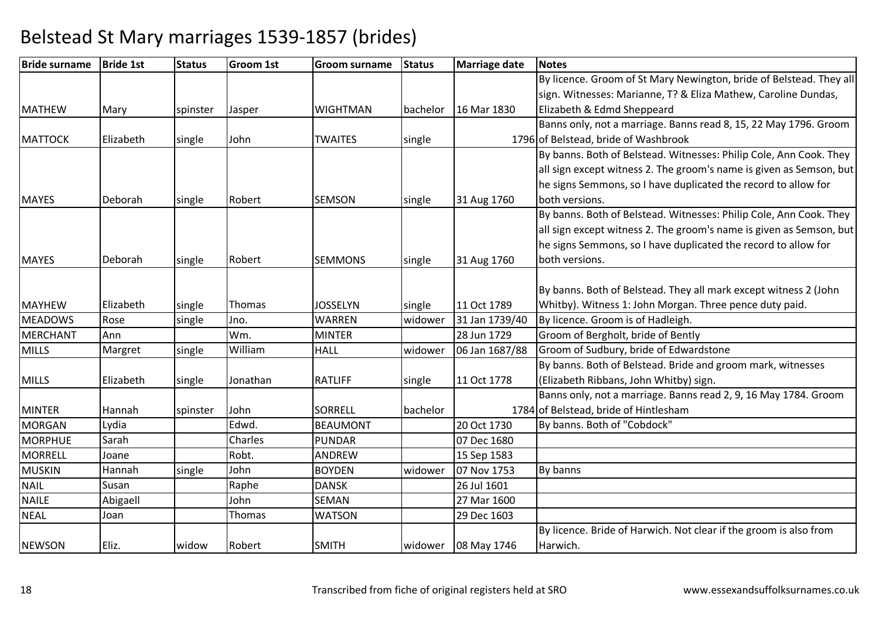| <b>Bride surname</b> | <b>Bride 1st</b> | <b>Status</b> | <b>Groom 1st</b> | <b>Groom surname</b> | <b>Status</b> | Marriage date  | <b>Notes</b>                                                        |
|----------------------|------------------|---------------|------------------|----------------------|---------------|----------------|---------------------------------------------------------------------|
|                      |                  |               |                  |                      |               |                | By licence. Groom of St Mary Newington, bride of Belstead. They all |
|                      |                  |               |                  |                      |               |                | sign. Witnesses: Marianne, T? & Eliza Mathew, Caroline Dundas,      |
| <b>MATHEW</b>        | Mary             | spinster      | Jasper           | <b>WIGHTMAN</b>      | bachelor      | 16 Mar 1830    | Elizabeth & Edmd Sheppeard                                          |
|                      |                  |               |                  |                      |               |                | Banns only, not a marriage. Banns read 8, 15, 22 May 1796. Groom    |
| <b>MATTOCK</b>       | Elizabeth        | single        | John             | <b>TWAITES</b>       | single        |                | 1796 of Belstead, bride of Washbrook                                |
|                      |                  |               |                  |                      |               |                | By banns. Both of Belstead. Witnesses: Philip Cole, Ann Cook. They  |
|                      |                  |               |                  |                      |               |                | all sign except witness 2. The groom's name is given as Semson, but |
|                      |                  |               |                  |                      |               |                | he signs Semmons, so I have duplicated the record to allow for      |
| <b>MAYES</b>         | Deborah          | single        | Robert           | <b>SEMSON</b>        | single        | 31 Aug 1760    | both versions.                                                      |
|                      |                  |               |                  |                      |               |                | By banns. Both of Belstead. Witnesses: Philip Cole, Ann Cook. They  |
|                      |                  |               |                  |                      |               |                | all sign except witness 2. The groom's name is given as Semson, but |
|                      |                  |               |                  |                      |               |                | he signs Semmons, so I have duplicated the record to allow for      |
| <b>MAYES</b>         | Deborah          | single        | Robert           | <b>SEMMONS</b>       | single        | 31 Aug 1760    | both versions.                                                      |
|                      |                  |               |                  |                      |               |                |                                                                     |
|                      |                  |               |                  |                      |               |                | By banns. Both of Belstead. They all mark except witness 2 (John    |
| <b>MAYHEW</b>        | Elizabeth        | single        | Thomas           | <b>JOSSELYN</b>      | single        | 11 Oct 1789    | Whitby). Witness 1: John Morgan. Three pence duty paid.             |
| <b>MEADOWS</b>       | Rose             | single        | Jno.             | <b>WARREN</b>        | widower       | 31 Jan 1739/40 | By licence. Groom is of Hadleigh.                                   |
| <b>MERCHANT</b>      | Ann              |               | Wm.              | <b>MINTER</b>        |               | 28 Jun 1729    | Groom of Bergholt, bride of Bently                                  |
| <b>MILLS</b>         | Margret          | single        | William          | <b>HALL</b>          | widower       | 06 Jan 1687/88 | Groom of Sudbury, bride of Edwardstone                              |
|                      |                  |               |                  |                      |               |                | By banns. Both of Belstead. Bride and groom mark, witnesses         |
| <b>MILLS</b>         | Elizabeth        | single        | Jonathan         | <b>RATLIFF</b>       | single        | 11 Oct 1778    | (Elizabeth Ribbans, John Whitby) sign.                              |
|                      |                  |               |                  |                      |               |                | Banns only, not a marriage. Banns read 2, 9, 16 May 1784. Groom     |
| <b>MINTER</b>        | Hannah           | spinster      | John             | <b>SORRELL</b>       | bachelor      |                | 1784 of Belstead, bride of Hintlesham                               |
| <b>MORGAN</b>        | Lydia            |               | Edwd.            | <b>BEAUMONT</b>      |               | 20 Oct 1730    | By banns. Both of "Cobdock"                                         |
| <b>MORPHUE</b>       | Sarah            |               | Charles          | <b>PUNDAR</b>        |               | 07 Dec 1680    |                                                                     |
| <b>MORRELL</b>       | Joane            |               | Robt.            | <b>ANDREW</b>        |               | 15 Sep 1583    |                                                                     |
| <b>MUSKIN</b>        | Hannah           | single        | John             | <b>BOYDEN</b>        | widower       | 07 Nov 1753    | By banns                                                            |
| <b>NAIL</b>          | Susan            |               | Raphe            | <b>DANSK</b>         |               | 26 Jul 1601    |                                                                     |
| <b>NAILE</b>         | Abigaell         |               | John             | SEMAN                |               | 27 Mar 1600    |                                                                     |
| <b>NEAL</b>          | Joan             |               | Thomas           | <b>WATSON</b>        |               | 29 Dec 1603    |                                                                     |
|                      |                  |               |                  |                      |               |                | By licence. Bride of Harwich. Not clear if the groom is also from   |
| <b>NEWSON</b>        | Eliz.            | widow         | Robert           | <b>SMITH</b>         | widower       | 08 May 1746    | Harwich.                                                            |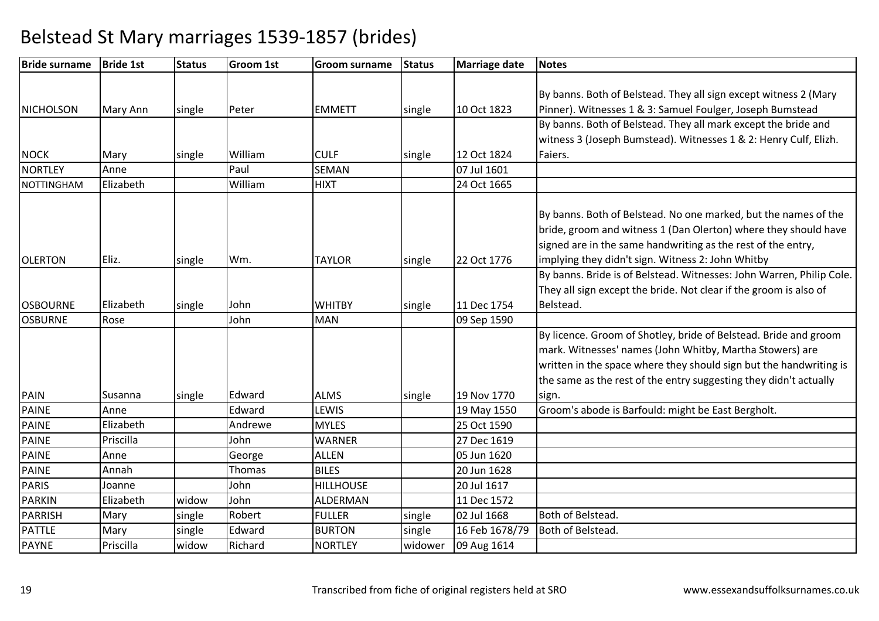| <b>Bride surname</b> | <b>Bride 1st</b> | <b>Status</b> | <b>Groom 1st</b> | <b>Groom surname</b> | <b>Status</b> | <b>Marriage date</b> | <b>Notes</b>                                                                                                                                                                                       |
|----------------------|------------------|---------------|------------------|----------------------|---------------|----------------------|----------------------------------------------------------------------------------------------------------------------------------------------------------------------------------------------------|
|                      |                  |               |                  |                      |               |                      |                                                                                                                                                                                                    |
|                      |                  |               |                  |                      |               |                      | By banns. Both of Belstead. They all sign except witness 2 (Mary                                                                                                                                   |
| NICHOLSON            | Mary Ann         | single        | Peter            | <b>EMMETT</b>        | single        | 10 Oct 1823          | Pinner). Witnesses 1 & 3: Samuel Foulger, Joseph Bumstead                                                                                                                                          |
|                      |                  |               |                  |                      |               |                      | By banns. Both of Belstead. They all mark except the bride and                                                                                                                                     |
|                      |                  |               |                  |                      |               |                      | witness 3 (Joseph Bumstead). Witnesses 1 & 2: Henry Culf, Elizh.                                                                                                                                   |
| <b>NOCK</b>          | Mary             | single        | William          | <b>CULF</b>          | single        | 12 Oct 1824          | Faiers.                                                                                                                                                                                            |
| <b>NORTLEY</b>       | Anne             |               | Paul             | SEMAN                |               | 07 Jul 1601          |                                                                                                                                                                                                    |
| <b>NOTTINGHAM</b>    | Elizabeth        |               | William          | <b>HIXT</b>          |               | 24 Oct 1665          |                                                                                                                                                                                                    |
|                      |                  |               |                  |                      |               |                      | By banns. Both of Belstead. No one marked, but the names of the<br>bride, groom and witness 1 (Dan Olerton) where they should have<br>signed are in the same handwriting as the rest of the entry, |
| <b>OLERTON</b>       | Eliz.            | single        | Wm.              | <b>TAYLOR</b>        | single        | 22 Oct 1776          | implying they didn't sign. Witness 2: John Whitby                                                                                                                                                  |
|                      |                  |               |                  |                      |               |                      | By banns. Bride is of Belstead. Witnesses: John Warren, Philip Cole.                                                                                                                               |
|                      |                  |               |                  |                      |               |                      | They all sign except the bride. Not clear if the groom is also of                                                                                                                                  |
| <b>OSBOURNE</b>      | Elizabeth        | single        | John             | <b>WHITBY</b>        | single        | 11 Dec 1754          | Belstead.                                                                                                                                                                                          |
| <b>OSBURNE</b>       | Rose             |               | John             | <b>MAN</b>           |               | 09 Sep 1590          |                                                                                                                                                                                                    |
|                      |                  |               |                  |                      |               |                      | By licence. Groom of Shotley, bride of Belstead. Bride and groom                                                                                                                                   |
|                      |                  |               |                  |                      |               |                      | mark. Witnesses' names (John Whitby, Martha Stowers) are                                                                                                                                           |
|                      |                  |               |                  |                      |               |                      | written in the space where they should sign but the handwriting is                                                                                                                                 |
|                      |                  |               |                  |                      |               |                      | the same as the rest of the entry suggesting they didn't actually                                                                                                                                  |
| <b>PAIN</b>          | Susanna          | single        | Edward           | <b>ALMS</b>          | single        | 19 Nov 1770          | sign.                                                                                                                                                                                              |
| <b>PAINE</b>         | Anne             |               | Edward           | LEWIS                |               | 19 May 1550          | Groom's abode is Barfould: might be East Bergholt.                                                                                                                                                 |
| <b>PAINE</b>         | Elizabeth        |               | Andrewe          | <b>MYLES</b>         |               | 25 Oct 1590          |                                                                                                                                                                                                    |
| <b>PAINE</b>         | Priscilla        |               | John             | <b>WARNER</b>        |               | 27 Dec 1619          |                                                                                                                                                                                                    |
| <b>PAINE</b>         | Anne             |               | George           | <b>ALLEN</b>         |               | 05 Jun 1620          |                                                                                                                                                                                                    |
| <b>PAINE</b>         | Annah            |               | Thomas           | <b>BILES</b>         |               | 20 Jun 1628          |                                                                                                                                                                                                    |
| <b>PARIS</b>         | Joanne           |               | John             | <b>HILLHOUSE</b>     |               | 20 Jul 1617          |                                                                                                                                                                                                    |
| <b>PARKIN</b>        | Elizabeth        | widow         | John             | <b>ALDERMAN</b>      |               | 11 Dec 1572          |                                                                                                                                                                                                    |
| <b>PARRISH</b>       | Mary             | single        | Robert           | <b>FULLER</b>        | single        | 02 Jul 1668          | Both of Belstead.                                                                                                                                                                                  |
| <b>PATTLE</b>        | Mary             | single        | Edward           | <b>BURTON</b>        | single        | 16 Feb 1678/79       | Both of Belstead.                                                                                                                                                                                  |
| <b>PAYNE</b>         | Priscilla        | widow         | Richard          | <b>NORTLEY</b>       | widower       | 09 Aug 1614          |                                                                                                                                                                                                    |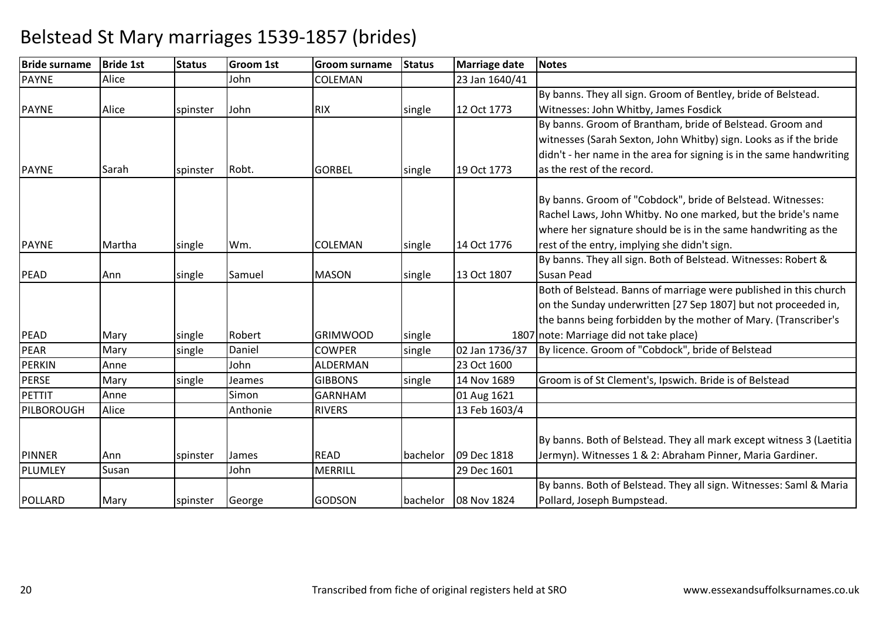| <b>Bride surname</b>  | <b>Bride 1st</b> | <b>Status</b> | <b>Groom 1st</b> | <b>Groom surname</b> | <b>Status</b> | Marriage date  | <b>Notes</b>                                                         |
|-----------------------|------------------|---------------|------------------|----------------------|---------------|----------------|----------------------------------------------------------------------|
| <b>PAYNE</b>          | Alice            |               | John             | COLEMAN              |               | 23 Jan 1640/41 |                                                                      |
|                       |                  |               |                  |                      |               |                | By banns. They all sign. Groom of Bentley, bride of Belstead.        |
| <b>PAYNE</b>          | Alice            | spinster      | John             | <b>RIX</b>           | single        | 12 Oct 1773    | Witnesses: John Whitby, James Fosdick                                |
|                       |                  |               |                  |                      |               |                | By banns. Groom of Brantham, bride of Belstead. Groom and            |
|                       |                  |               |                  |                      |               |                | witnesses (Sarah Sexton, John Whitby) sign. Looks as if the bride    |
|                       |                  |               |                  |                      |               |                | didn't - her name in the area for signing is in the same handwriting |
| <b>PAYNE</b>          | Sarah            | spinster      | Robt.            | <b>GORBEL</b>        | single        | 19 Oct 1773    | as the rest of the record.                                           |
|                       |                  |               |                  |                      |               |                | By banns. Groom of "Cobdock", bride of Belstead. Witnesses:          |
|                       |                  |               |                  |                      |               |                | Rachel Laws, John Whitby. No one marked, but the bride's name        |
|                       |                  |               |                  |                      |               |                | where her signature should be is in the same handwriting as the      |
| <b>PAYNE</b>          | Martha           |               | Wm.              | <b>COLEMAN</b>       |               | 14 Oct 1776    | rest of the entry, implying she didn't sign.                         |
|                       |                  | single        |                  |                      | single        |                | By banns. They all sign. Both of Belstead. Witnesses: Robert &       |
| PEAD                  | Ann              |               |                  | <b>MASON</b>         | single        | 13 Oct 1807    | <b>Susan Pead</b>                                                    |
|                       |                  | single        | Samuel           |                      |               |                | Both of Belstead. Banns of marriage were published in this church    |
|                       |                  |               |                  |                      |               |                | on the Sunday underwritten [27 Sep 1807] but not proceeded in,       |
|                       |                  |               |                  |                      |               |                |                                                                      |
|                       |                  |               |                  |                      |               |                | the banns being forbidden by the mother of Mary. (Transcriber's      |
| <b>PEAD</b>           | Mary             | single        | Robert           | <b>GRIMWOOD</b>      | single        |                | 1807 note: Marriage did not take place)                              |
| PEAR<br><b>PERKIN</b> | Mary<br>Anne     | single        | Daniel<br>John   | <b>COWPER</b>        | single        | 02 Jan 1736/37 | By licence. Groom of "Cobdock", bride of Belstead                    |
|                       |                  |               |                  | <b>ALDERMAN</b>      |               | 23 Oct 1600    |                                                                      |
| <b>PERSE</b>          | Mary             | single        | Jeames           | <b>GIBBONS</b>       | single        | 14 Nov 1689    | Groom is of St Clement's, Ipswich. Bride is of Belstead              |
| PETTIT                | Anne             |               | Simon            | <b>GARNHAM</b>       |               | 01 Aug 1621    |                                                                      |
| PILBOROUGH            | Alice            |               | Anthonie         | <b>RIVERS</b>        |               | 13 Feb 1603/4  |                                                                      |
|                       |                  |               |                  |                      |               |                |                                                                      |
|                       |                  |               |                  |                      |               |                | By banns. Both of Belstead. They all mark except witness 3 (Laetitia |
| PINNER                | Ann              | spinster      | James            | <b>READ</b>          | bachelor      | 09 Dec 1818    | Jermyn). Witnesses 1 & 2: Abraham Pinner, Maria Gardiner.            |
| PLUMLEY               | Susan            |               | John             | <b>MERRILL</b>       |               | 29 Dec 1601    |                                                                      |
|                       |                  |               |                  |                      |               |                | By banns. Both of Belstead. They all sign. Witnesses: Saml & Maria   |
| POLLARD               | Mary             | spinster      | George           | <b>GODSON</b>        | bachelor      | 08 Nov 1824    | Pollard, Joseph Bumpstead.                                           |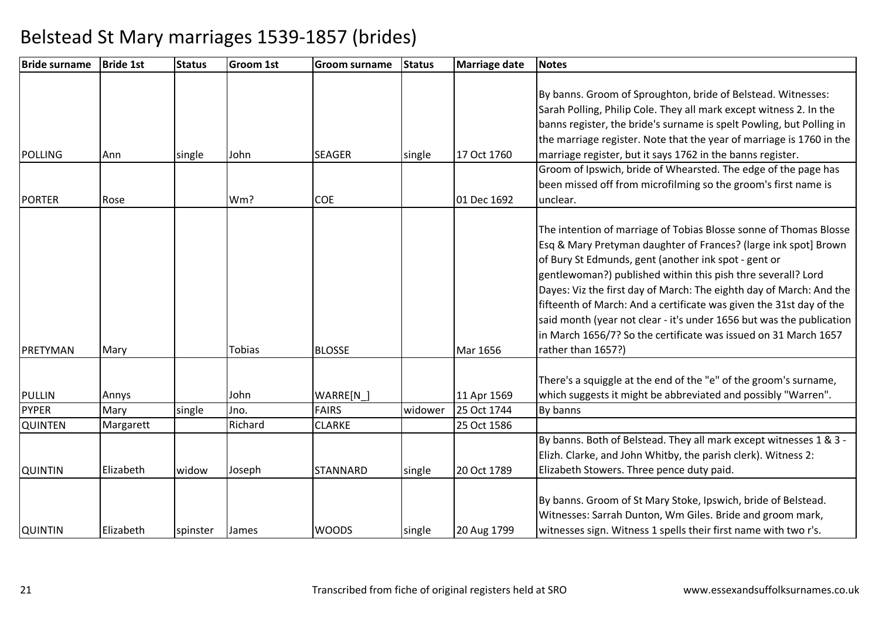| <b>Bride surname</b>            | <b>Bride 1st</b> | <b>Status</b> | <b>Groom 1st</b> | <b>Groom surname</b> | <b>Status</b> | Marriage date              | <b>Notes</b>                                                                                                                                                                                                                                                                                                                                                                                                                                                                                                                                                                |
|---------------------------------|------------------|---------------|------------------|----------------------|---------------|----------------------------|-----------------------------------------------------------------------------------------------------------------------------------------------------------------------------------------------------------------------------------------------------------------------------------------------------------------------------------------------------------------------------------------------------------------------------------------------------------------------------------------------------------------------------------------------------------------------------|
| <b>POLLING</b><br><b>PORTER</b> | Ann<br>Rose      | single        | John<br>Wm?      | <b>SEAGER</b><br>COE | single        | 17 Oct 1760<br>01 Dec 1692 | By banns. Groom of Sproughton, bride of Belstead. Witnesses:<br>Sarah Polling, Philip Cole. They all mark except witness 2. In the<br>banns register, the bride's surname is spelt Powling, but Polling in<br>the marriage register. Note that the year of marriage is 1760 in the<br>marriage register, but it says 1762 in the banns register.<br>Groom of Ipswich, bride of Whearsted. The edge of the page has<br>been missed off from microfilming so the groom's first name is<br>unclear.                                                                            |
|                                 |                  |               |                  |                      |               |                            |                                                                                                                                                                                                                                                                                                                                                                                                                                                                                                                                                                             |
| PRETYMAN                        | Mary             |               | Tobias           | <b>BLOSSE</b>        |               | Mar 1656                   | The intention of marriage of Tobias Blosse sonne of Thomas Blosse<br>Esq & Mary Pretyman daughter of Frances? (large ink spot] Brown<br>of Bury St Edmunds, gent (another ink spot - gent or<br>gentlewoman?) published within this pish thre severall? Lord<br>Dayes: Viz the first day of March: The eighth day of March: And the<br>fifteenth of March: And a certificate was given the 31st day of the<br>said month (year not clear - it's under 1656 but was the publication<br>in March 1656/7? So the certificate was issued on 31 March 1657<br>rather than 1657?) |
|                                 |                  |               |                  |                      |               |                            | There's a squiggle at the end of the "e" of the groom's surname,                                                                                                                                                                                                                                                                                                                                                                                                                                                                                                            |
| <b>PULLIN</b>                   | Annys            |               | John             | WARRE[N              |               | 11 Apr 1569                | which suggests it might be abbreviated and possibly "Warren".                                                                                                                                                                                                                                                                                                                                                                                                                                                                                                               |
| <b>PYPER</b>                    | Mary             | single        | Jno.             | <b>FAIRS</b>         | widower       | 25 Oct 1744                | By banns                                                                                                                                                                                                                                                                                                                                                                                                                                                                                                                                                                    |
| <b>QUINTEN</b>                  | Margarett        |               | Richard          | <b>CLARKE</b>        |               | 25 Oct 1586                |                                                                                                                                                                                                                                                                                                                                                                                                                                                                                                                                                                             |
| <b>QUINTIN</b>                  | Elizabeth        | widow         | Joseph           | <b>STANNARD</b>      | single        | 20 Oct 1789                | By banns. Both of Belstead. They all mark except witnesses 1 & 3 -<br>Elizh. Clarke, and John Whitby, the parish clerk). Witness 2:<br>Elizabeth Stowers. Three pence duty paid.                                                                                                                                                                                                                                                                                                                                                                                            |
|                                 |                  |               |                  |                      |               |                            |                                                                                                                                                                                                                                                                                                                                                                                                                                                                                                                                                                             |
| <b>QUINTIN</b>                  | Elizabeth        | spinster      | James            | <b>WOODS</b>         | single        | 20 Aug 1799                | By banns. Groom of St Mary Stoke, Ipswich, bride of Belstead.<br>Witnesses: Sarrah Dunton, Wm Giles. Bride and groom mark,<br>witnesses sign. Witness 1 spells their first name with two r's.                                                                                                                                                                                                                                                                                                                                                                               |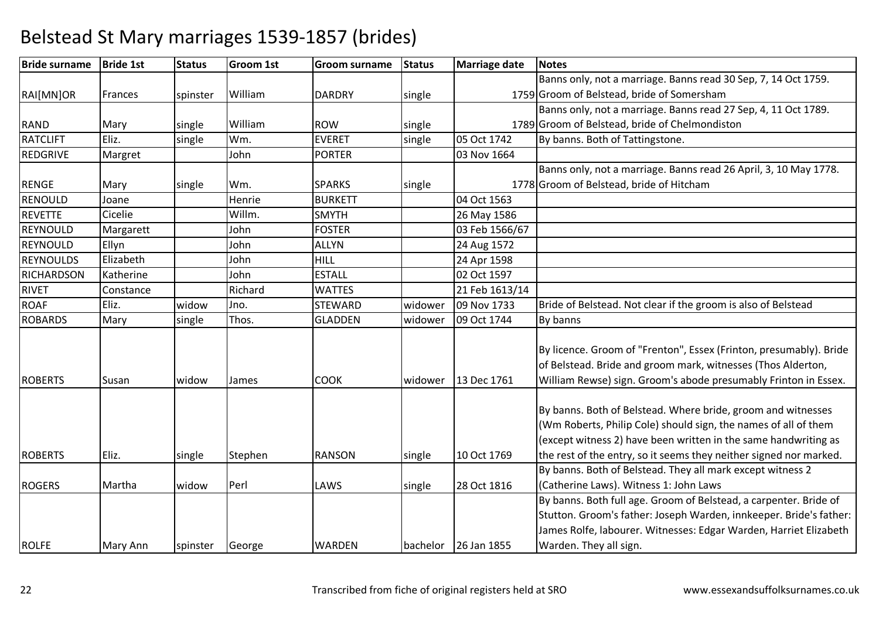| <b>Bride surname</b> | <b>Bride 1st</b> | <b>Status</b> | <b>Groom 1st</b> | <b>Groom surname</b> | <b>Status</b> | <b>Marriage date</b> | <b>Notes</b>                                                       |
|----------------------|------------------|---------------|------------------|----------------------|---------------|----------------------|--------------------------------------------------------------------|
|                      |                  |               |                  |                      |               |                      | Banns only, not a marriage. Banns read 30 Sep, 7, 14 Oct 1759.     |
| RAI[MN]OR            | Frances          | spinster      | William          | <b>DARDRY</b>        | single        |                      | 1759 Groom of Belstead, bride of Somersham                         |
|                      |                  |               |                  |                      |               |                      | Banns only, not a marriage. Banns read 27 Sep, 4, 11 Oct 1789.     |
| <b>RAND</b>          | Mary             | single        | William          | <b>ROW</b>           | single        |                      | 1789 Groom of Belstead, bride of Chelmondiston                     |
| <b>RATCLIFT</b>      | Eliz.            | single        | Wm.              | <b>EVERET</b>        | single        | 05 Oct 1742          | By banns. Both of Tattingstone.                                    |
| <b>REDGRIVE</b>      | Margret          |               | John             | <b>PORTER</b>        |               | 03 Nov 1664          |                                                                    |
|                      |                  |               |                  |                      |               |                      | Banns only, not a marriage. Banns read 26 April, 3, 10 May 1778.   |
| <b>RENGE</b>         | Mary             | single        | Wm.              | <b>SPARKS</b>        | single        |                      | 1778 Groom of Belstead, bride of Hitcham                           |
| <b>RENOULD</b>       | Joane            |               | Henrie           | <b>BURKETT</b>       |               | 04 Oct 1563          |                                                                    |
| <b>REVETTE</b>       | Cicelie          |               | Willm.           | <b>SMYTH</b>         |               | 26 May 1586          |                                                                    |
| <b>REYNOULD</b>      | Margarett        |               | John             | <b>FOSTER</b>        |               | 03 Feb 1566/67       |                                                                    |
| REYNOULD             | Ellyn            |               | John             | <b>ALLYN</b>         |               | 24 Aug 1572          |                                                                    |
| <b>REYNOULDS</b>     | Elizabeth        |               | John             | <b>HILL</b>          |               | 24 Apr 1598          |                                                                    |
| <b>RICHARDSON</b>    | Katherine        |               | John             | <b>ESTALL</b>        |               | 02 Oct 1597          |                                                                    |
| <b>RIVET</b>         | Constance        |               | Richard          | <b>WATTES</b>        |               | 21 Feb 1613/14       |                                                                    |
| <b>ROAF</b>          | Eliz.            | widow         | Jno.             | <b>STEWARD</b>       | widower       | 09 Nov 1733          | Bride of Belstead. Not clear if the groom is also of Belstead      |
| <b>ROBARDS</b>       | Mary             | single        | Thos.            | <b>GLADDEN</b>       | widower       | 09 Oct 1744          | By banns                                                           |
|                      |                  |               |                  |                      |               |                      |                                                                    |
|                      |                  |               |                  |                      |               |                      | By licence. Groom of "Frenton", Essex (Frinton, presumably). Bride |
|                      |                  |               |                  |                      |               |                      | of Belstead. Bride and groom mark, witnesses (Thos Alderton,       |
| <b>ROBERTS</b>       | Susan            | widow         | James            | <b>COOK</b>          | widower       | 13 Dec 1761          | William Rewse) sign. Groom's abode presumably Frinton in Essex.    |
|                      |                  |               |                  |                      |               |                      |                                                                    |
|                      |                  |               |                  |                      |               |                      | By banns. Both of Belstead. Where bride, groom and witnesses       |
|                      |                  |               |                  |                      |               |                      | (Wm Roberts, Philip Cole) should sign, the names of all of them    |
|                      |                  |               |                  |                      |               |                      | (except witness 2) have been written in the same handwriting as    |
| <b>ROBERTS</b>       | Eliz.            | single        | Stephen          | <b>RANSON</b>        | single        | 10 Oct 1769          | the rest of the entry, so it seems they neither signed nor marked. |
|                      |                  |               |                  |                      |               |                      | By banns. Both of Belstead. They all mark except witness 2         |
| <b>ROGERS</b>        | Martha           | widow         | Perl             | LAWS                 | single        | 28 Oct 1816          | (Catherine Laws). Witness 1: John Laws                             |
|                      |                  |               |                  |                      |               |                      | By banns. Both full age. Groom of Belstead, a carpenter. Bride of  |
|                      |                  |               |                  |                      |               |                      | Stutton. Groom's father: Joseph Warden, innkeeper. Bride's father: |
|                      |                  |               |                  |                      |               |                      | James Rolfe, labourer. Witnesses: Edgar Warden, Harriet Elizabeth  |
| <b>ROLFE</b>         | Mary Ann         | spinster      | George           | <b>WARDEN</b>        | bachelor      | 26 Jan 1855          | Warden. They all sign.                                             |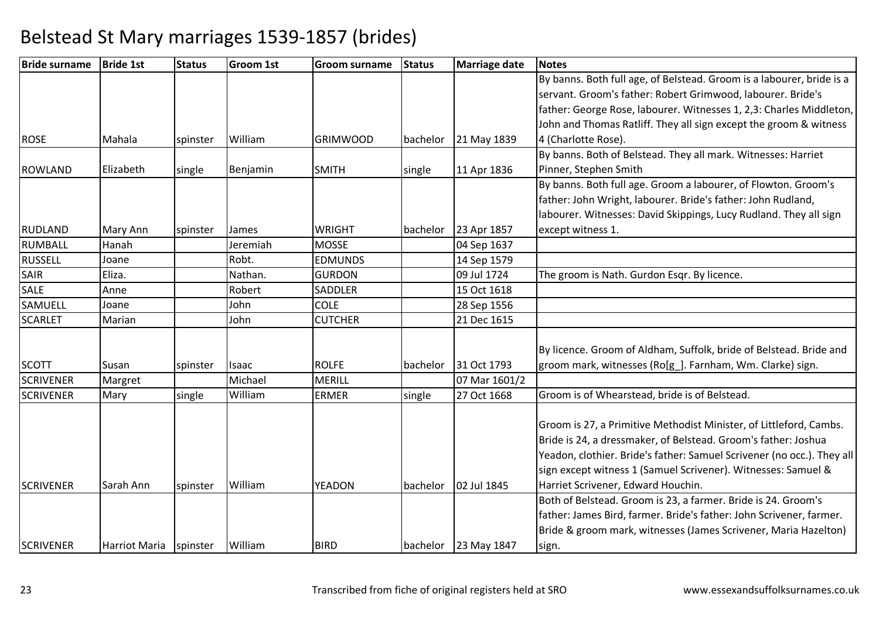| <b>Bride surname</b> | <b>Bride 1st</b> | <b>Status</b> | <b>Groom 1st</b> | <b>Groom surname</b> | <b>Status</b> | <b>Marriage date</b> | <b>Notes</b>                                                           |
|----------------------|------------------|---------------|------------------|----------------------|---------------|----------------------|------------------------------------------------------------------------|
|                      |                  |               |                  |                      |               |                      | By banns. Both full age, of Belstead. Groom is a labourer, bride is a  |
|                      |                  |               |                  |                      |               |                      | servant. Groom's father: Robert Grimwood, labourer. Bride's            |
|                      |                  |               |                  |                      |               |                      | father: George Rose, labourer. Witnesses 1, 2,3: Charles Middleton,    |
|                      |                  |               |                  |                      |               |                      | John and Thomas Ratliff. They all sign except the groom & witness      |
| <b>ROSE</b>          | Mahala           | spinster      | William          | <b>GRIMWOOD</b>      | bachelor      | 21 May 1839          | 4 (Charlotte Rose).                                                    |
|                      |                  |               |                  |                      |               |                      | By banns. Both of Belstead. They all mark. Witnesses: Harriet          |
| ROWLAND              | Elizabeth        | single        | Benjamin         | <b>SMITH</b>         | single        | 11 Apr 1836          | Pinner, Stephen Smith                                                  |
|                      |                  |               |                  |                      |               |                      | By banns. Both full age. Groom a labourer, of Flowton. Groom's         |
|                      |                  |               |                  |                      |               |                      | father: John Wright, labourer. Bride's father: John Rudland,           |
|                      |                  |               |                  |                      |               |                      | labourer. Witnesses: David Skippings, Lucy Rudland. They all sign      |
| <b>RUDLAND</b>       | Mary Ann         | spinster      | James            | <b>WRIGHT</b>        | bachelor      | 23 Apr 1857          | except witness 1.                                                      |
| RUMBALL              | Hanah            |               | Jeremiah         | <b>MOSSE</b>         |               | 04 Sep 1637          |                                                                        |
| <b>RUSSELL</b>       | Joane            |               | Robt.            | <b>EDMUNDS</b>       |               | 14 Sep 1579          |                                                                        |
| <b>SAIR</b>          | Eliza.           |               | Nathan.          | <b>GURDON</b>        |               | 09 Jul 1724          | The groom is Nath. Gurdon Esqr. By licence.                            |
| <b>SALE</b>          | Anne             |               | Robert           | SADDLER              |               | 15 Oct 1618          |                                                                        |
| <b>SAMUELL</b>       | Joane            |               | John             | <b>COLE</b>          |               | 28 Sep 1556          |                                                                        |
| <b>SCARLET</b>       | Marian           |               | John             | <b>CUTCHER</b>       |               | 21 Dec 1615          |                                                                        |
|                      |                  |               |                  |                      |               |                      |                                                                        |
|                      |                  |               |                  |                      |               |                      | By licence. Groom of Aldham, Suffolk, bride of Belstead. Bride and     |
| <b>SCOTT</b>         | Susan            | spinster      | Isaac            | <b>ROLFE</b>         | bachelor      | 31 Oct 1793          | groom mark, witnesses (Ro[g_]. Farnham, Wm. Clarke) sign.              |
| <b>SCRIVENER</b>     | Margret          |               | Michael          | <b>MERILL</b>        |               | 07 Mar 1601/2        |                                                                        |
| <b>SCRIVENER</b>     | Mary             | single        | William          | <b>ERMER</b>         | single        | 27 Oct 1668          | Groom is of Whearstead, bride is of Belstead.                          |
|                      |                  |               |                  |                      |               |                      |                                                                        |
|                      |                  |               |                  |                      |               |                      | Groom is 27, a Primitive Methodist Minister, of Littleford, Cambs.     |
|                      |                  |               |                  |                      |               |                      | Bride is 24, a dressmaker, of Belstead. Groom's father: Joshua         |
|                      |                  |               |                  |                      |               |                      | Yeadon, clothier. Bride's father: Samuel Scrivener (no occ.). They all |
|                      |                  |               |                  |                      |               |                      | sign except witness 1 (Samuel Scrivener). Witnesses: Samuel &          |
| <b>SCRIVENER</b>     | Sarah Ann        | spinster      | William          | <b>YEADON</b>        | bachelor      | 02 Jul 1845          | Harriet Scrivener, Edward Houchin.                                     |
|                      |                  |               |                  |                      |               |                      | Both of Belstead. Groom is 23, a farmer. Bride is 24. Groom's          |
|                      |                  |               |                  |                      |               |                      | father: James Bird, farmer. Bride's father: John Scrivener, farmer.    |
|                      |                  |               |                  |                      |               |                      | Bride & groom mark, witnesses (James Scrivener, Maria Hazelton)        |
| <b>SCRIVENER</b>     | Harriot Maria    | spinster      | William          | <b>BIRD</b>          | bachelor      | 23 May 1847          | sign.                                                                  |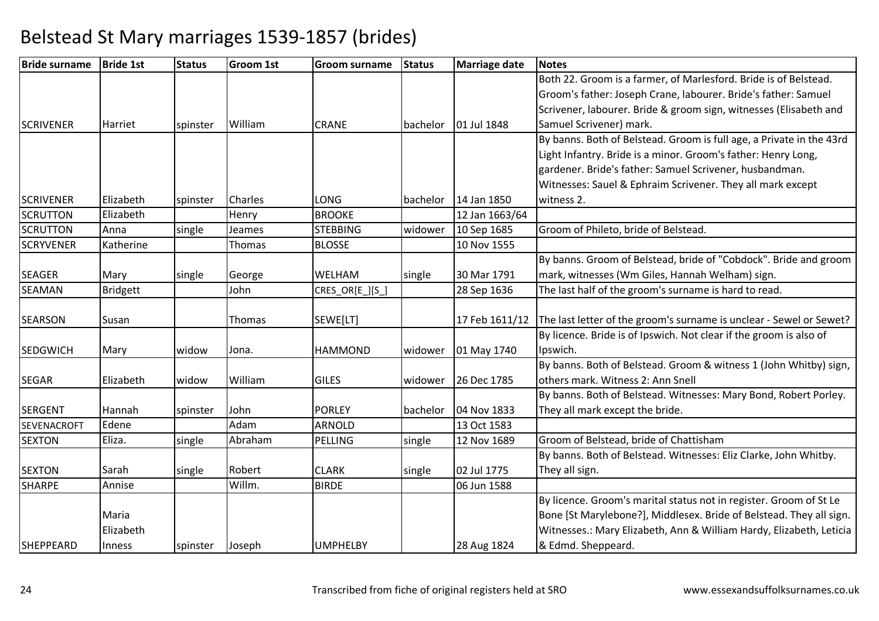| <b>Bride surname</b> | <b>Bride 1st</b> | <b>Status</b> | <b>Groom 1st</b> | <b>Groom surname</b> | <b>Status</b> | <b>Marriage date</b> | <b>Notes</b>                                                         |
|----------------------|------------------|---------------|------------------|----------------------|---------------|----------------------|----------------------------------------------------------------------|
|                      |                  |               |                  |                      |               |                      | Both 22. Groom is a farmer, of Marlesford. Bride is of Belstead.     |
|                      |                  |               |                  |                      |               |                      | Groom's father: Joseph Crane, labourer. Bride's father: Samuel       |
|                      |                  |               |                  |                      |               |                      | Scrivener, labourer. Bride & groom sign, witnesses (Elisabeth and    |
| <b>SCRIVENER</b>     | Harriet          | spinster      | William          | <b>CRANE</b>         | bachelor      | 01 Jul 1848          | Samuel Scrivener) mark.                                              |
|                      |                  |               |                  |                      |               |                      | By banns. Both of Belstead. Groom is full age, a Private in the 43rd |
|                      |                  |               |                  |                      |               |                      | Light Infantry. Bride is a minor. Groom's father: Henry Long,        |
|                      |                  |               |                  |                      |               |                      | gardener. Bride's father: Samuel Scrivener, husbandman.              |
|                      |                  |               |                  |                      |               |                      | Witnesses: Sauel & Ephraim Scrivener. They all mark except           |
| <b>SCRIVENER</b>     | Elizabeth        | spinster      | <b>Charles</b>   | LONG                 | bachelor      | 14 Jan 1850          | witness 2.                                                           |
| <b>SCRUTTON</b>      | Elizabeth        |               | Henry            | <b>BROOKE</b>        |               | 12 Jan 1663/64       |                                                                      |
| <b>SCRUTTON</b>      | Anna             | single        | Jeames           | <b>STEBBING</b>      | widower       | 10 Sep 1685          | Groom of Phileto, bride of Belstead.                                 |
| <b>SCRYVENER</b>     | Katherine        |               | Thomas           | <b>BLOSSE</b>        |               | 10 Nov 1555          |                                                                      |
|                      |                  |               |                  |                      |               |                      | By banns. Groom of Belstead, bride of "Cobdock". Bride and groom     |
| <b>SEAGER</b>        | Mary             | single        | George           | WELHAM               | single        | 30 Mar 1791          | mark, witnesses (Wm Giles, Hannah Welham) sign.                      |
| <b>SEAMAN</b>        | <b>Bridgett</b>  |               | John             | CRES_OR[E_][S_]      |               | 28 Sep 1636          | The last half of the groom's surname is hard to read.                |
|                      |                  |               |                  |                      |               |                      |                                                                      |
| <b>SEARSON</b>       | Susan            |               | Thomas           | SEWE[LT]             |               | 17 Feb 1611/12       | The last letter of the groom's surname is unclear - Sewel or Sewet?  |
|                      |                  |               |                  |                      |               |                      | By licence. Bride is of Ipswich. Not clear if the groom is also of   |
| <b>SEDGWICH</b>      | Mary             | widow         | Jona.            | <b>HAMMOND</b>       | widower       | 01 May 1740          | Ipswich.                                                             |
|                      |                  |               |                  |                      |               |                      | By banns. Both of Belstead. Groom & witness 1 (John Whitby) sign,    |
| <b>SEGAR</b>         | Elizabeth        | widow         | William          | <b>GILES</b>         | widower       | 26 Dec 1785          | others mark. Witness 2: Ann Snell                                    |
|                      |                  |               |                  |                      |               |                      | By banns. Both of Belstead. Witnesses: Mary Bond, Robert Porley.     |
| <b>SERGENT</b>       | Hannah           | spinster      | John             | <b>PORLEY</b>        | bachelor      | 04 Nov 1833          | They all mark except the bride.                                      |
| <b>SEVENACROFT</b>   | Edene            |               | Adam             | <b>ARNOLD</b>        |               | 13 Oct 1583          |                                                                      |
| <b>SEXTON</b>        | Eliza.           | single        | Abraham          | PELLING              | single        | 12 Nov 1689          | Groom of Belstead, bride of Chattisham                               |
|                      |                  |               |                  |                      |               |                      | By banns. Both of Belstead. Witnesses: Eliz Clarke, John Whitby.     |
| <b>SEXTON</b>        | Sarah            | single        | Robert           | <b>CLARK</b>         | single        | 02 Jul 1775          | They all sign.                                                       |
| <b>SHARPE</b>        | Annise           |               | Willm.           | <b>BIRDE</b>         |               | 06 Jun 1588          |                                                                      |
|                      |                  |               |                  |                      |               |                      | By licence. Groom's marital status not in register. Groom of St Le   |
|                      | Maria            |               |                  |                      |               |                      | Bone [St Marylebone?], Middlesex. Bride of Belstead. They all sign.  |
|                      | Elizabeth        |               |                  |                      |               |                      | Witnesses.: Mary Elizabeth, Ann & William Hardy, Elizabeth, Leticia  |
| <b>SHEPPEARD</b>     | Inness           | spinster      | Joseph           | <b>UMPHELBY</b>      |               | 28 Aug 1824          | & Edmd. Sheppeard.                                                   |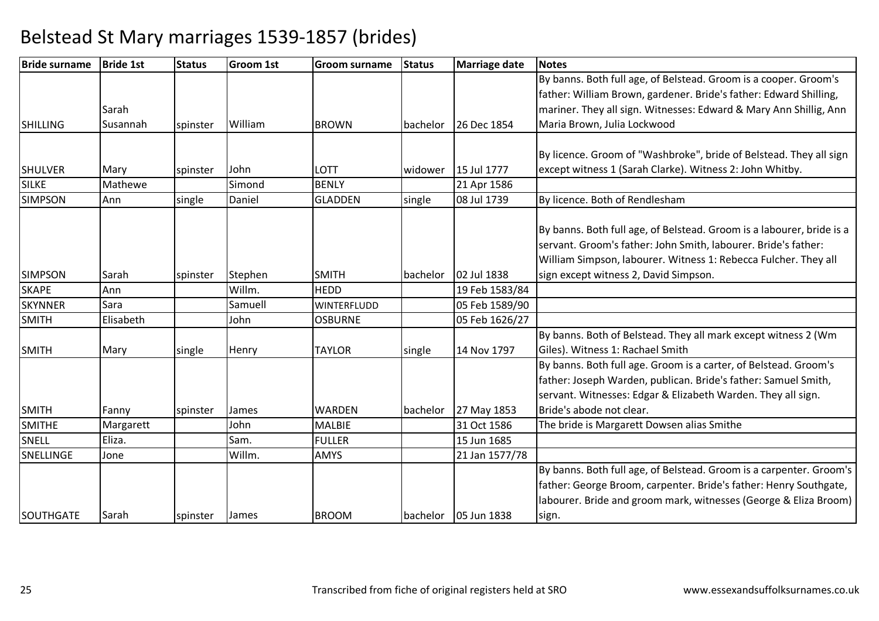| <b>Bride surname</b> | <b>Bride 1st</b> | <b>Status</b> | <b>Groom 1st</b> | <b>Groom surname</b> | <b>Status</b>    | Marriage date  | <b>Notes</b>                                                          |
|----------------------|------------------|---------------|------------------|----------------------|------------------|----------------|-----------------------------------------------------------------------|
|                      |                  |               |                  |                      |                  |                | By banns. Both full age, of Belstead. Groom is a cooper. Groom's      |
|                      |                  |               |                  |                      |                  |                | father: William Brown, gardener. Bride's father: Edward Shilling,     |
|                      | Sarah            |               |                  |                      |                  |                | mariner. They all sign. Witnesses: Edward & Mary Ann Shillig, Ann     |
| <b>SHILLING</b>      | Susannah         | spinster      | William          | <b>BROWN</b>         | bachelor         | 26 Dec 1854    | Maria Brown, Julia Lockwood                                           |
|                      |                  |               |                  |                      |                  |                |                                                                       |
|                      |                  |               |                  |                      |                  |                | By licence. Groom of "Washbroke", bride of Belstead. They all sign    |
| <b>SHULVER</b>       | Mary             | spinster      | John             | LOTT                 | widower          | 15 Jul 1777    | except witness 1 (Sarah Clarke). Witness 2: John Whitby.              |
| <b>SILKE</b>         | Mathewe          |               | Simond           | <b>BENLY</b>         |                  | 21 Apr 1586    |                                                                       |
| <b>SIMPSON</b>       | Ann              | single        | Daniel           | <b>GLADDEN</b>       | single           | 08 Jul 1739    | By licence. Both of Rendlesham                                        |
|                      |                  |               |                  |                      |                  |                |                                                                       |
|                      |                  |               |                  |                      |                  |                | By banns. Both full age, of Belstead. Groom is a labourer, bride is a |
|                      |                  |               |                  |                      |                  |                | servant. Groom's father: John Smith, labourer. Bride's father:        |
|                      |                  |               |                  |                      |                  |                | William Simpson, labourer. Witness 1: Rebecca Fulcher. They all       |
| <b>SIMPSON</b>       | Sarah            | spinster      | Stephen          | <b>SMITH</b>         | bachelor         | 02 Jul 1838    | sign except witness 2, David Simpson.                                 |
| <b>SKAPE</b>         | Ann              |               | Willm.           | <b>HEDD</b>          |                  | 19 Feb 1583/84 |                                                                       |
| <b>SKYNNER</b>       | Sara             |               | Samuell          | <b>WINTERFLUDD</b>   |                  | 05 Feb 1589/90 |                                                                       |
| <b>SMITH</b>         | Elisabeth        |               | John             | <b>OSBURNE</b>       |                  | 05 Feb 1626/27 |                                                                       |
|                      |                  |               |                  |                      |                  |                | By banns. Both of Belstead. They all mark except witness 2 (Wm        |
| <b>SMITH</b>         | Mary             | single        | Henry            | <b>TAYLOR</b>        | single           | 14 Nov 1797    | Giles). Witness 1: Rachael Smith                                      |
|                      |                  |               |                  |                      |                  |                | By banns. Both full age. Groom is a carter, of Belstead. Groom's      |
|                      |                  |               |                  |                      |                  |                | father: Joseph Warden, publican. Bride's father: Samuel Smith,        |
|                      |                  |               |                  |                      |                  |                | servant. Witnesses: Edgar & Elizabeth Warden. They all sign.          |
| <b>SMITH</b>         | Fanny            | spinster      | James            | <b>WARDEN</b>        | <b>Ibachelor</b> | 27 May 1853    | Bride's abode not clear.                                              |
| <b>SMITHE</b>        | Margarett        |               | John             | <b>MALBIE</b>        |                  | 31 Oct 1586    | The bride is Margarett Dowsen alias Smithe                            |
| SNELL                | Eliza.           |               | Sam.             | <b>FULLER</b>        |                  | 15 Jun 1685    |                                                                       |
| SNELLINGE            | Jone             |               | Willm.           | <b>AMYS</b>          |                  | 21 Jan 1577/78 |                                                                       |
|                      |                  |               |                  |                      |                  |                | By banns. Both full age, of Belstead. Groom is a carpenter. Groom's   |
|                      |                  |               |                  |                      |                  |                | father: George Broom, carpenter. Bride's father: Henry Southgate,     |
|                      |                  |               |                  |                      |                  |                | labourer. Bride and groom mark, witnesses (George & Eliza Broom)      |
| SOUTHGATE            | Sarah            | spinster      | <b>James</b>     | <b>BROOM</b>         | bachelor         | 05 Jun 1838    | sign.                                                                 |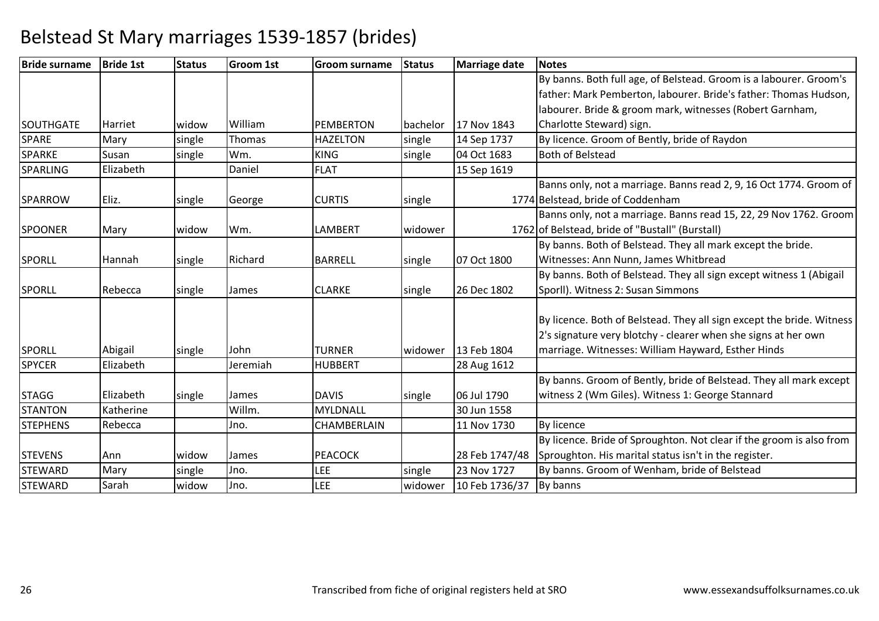| <b>Bride surname</b> | <b>Bride 1st</b> | <b>Status</b> | <b>Groom 1st</b> | <b>Groom surname</b> | <b>Status</b> | <b>Marriage date</b> | <b>Notes</b>                                                          |
|----------------------|------------------|---------------|------------------|----------------------|---------------|----------------------|-----------------------------------------------------------------------|
|                      |                  |               |                  |                      |               |                      | By banns. Both full age, of Belstead. Groom is a labourer. Groom's    |
|                      |                  |               |                  |                      |               |                      | father: Mark Pemberton, labourer. Bride's father: Thomas Hudson,      |
|                      |                  |               |                  |                      |               |                      | labourer. Bride & groom mark, witnesses (Robert Garnham,              |
| <b>SOUTHGATE</b>     | <b>Harriet</b>   | widow         | William          | <b>PEMBERTON</b>     | bachelor      | 17 Nov 1843          | Charlotte Steward) sign.                                              |
| <b>SPARE</b>         | Mary             | single        | Thomas           | <b>HAZELTON</b>      | single        | 14 Sep 1737          | By licence. Groom of Bently, bride of Raydon                          |
| <b>SPARKE</b>        | Susan            | single        | Wm.              | <b>KING</b>          | single        | 04 Oct 1683          | <b>Both of Belstead</b>                                               |
| <b>SPARLING</b>      | Elizabeth        |               | Daniel           | <b>FLAT</b>          |               | 15 Sep 1619          |                                                                       |
|                      |                  |               |                  |                      |               |                      | Banns only, not a marriage. Banns read 2, 9, 16 Oct 1774. Groom of    |
| <b>SPARROW</b>       | Eliz.            | single        | George           | <b>CURTIS</b>        | single        |                      | 1774 Belstead, bride of Coddenham                                     |
|                      |                  |               |                  |                      |               |                      | Banns only, not a marriage. Banns read 15, 22, 29 Nov 1762. Groom     |
| <b>SPOONER</b>       | Mary             | widow         | Wm.              | <b>LAMBERT</b>       | widower       |                      | 1762 of Belstead, bride of "Bustall" (Burstall)                       |
|                      |                  |               |                  |                      |               |                      | By banns. Both of Belstead. They all mark except the bride.           |
| <b>SPORLL</b>        | <b>Hannah</b>    | single        | Richard          | <b>BARRELL</b>       | single        | 07 Oct 1800          | Witnesses: Ann Nunn, James Whitbread                                  |
|                      |                  |               |                  |                      |               |                      | By banns. Both of Belstead. They all sign except witness 1 (Abigail   |
| <b>SPORLL</b>        | Rebecca          | single        | James            | <b>CLARKE</b>        | single        | 26 Dec 1802          | Sporll). Witness 2: Susan Simmons                                     |
|                      |                  |               |                  |                      |               |                      |                                                                       |
|                      |                  |               |                  |                      |               |                      | By licence. Both of Belstead. They all sign except the bride. Witness |
|                      |                  |               |                  |                      |               |                      | 2's signature very blotchy - clearer when she signs at her own        |
| <b>SPORLL</b>        | Abigail          | single        | John             | <b>TURNER</b>        | widower       | 13 Feb 1804          | marriage. Witnesses: William Hayward, Esther Hinds                    |
| <b>SPYCER</b>        | Elizabeth        |               | Jeremiah         | <b>HUBBERT</b>       |               | 28 Aug 1612          |                                                                       |
|                      |                  |               |                  |                      |               |                      | By banns. Groom of Bently, bride of Belstead. They all mark except    |
| <b>STAGG</b>         | Elizabeth        | single        | James            | <b>DAVIS</b>         | single        | 06 Jul 1790          | witness 2 (Wm Giles). Witness 1: George Stannard                      |
| <b>STANTON</b>       | Katherine        |               | Willm.           | <b>MYLDNALL</b>      |               | 30 Jun 1558          |                                                                       |
| <b>STEPHENS</b>      | Rebecca          |               | Jno.             | <b>CHAMBERLAIN</b>   |               | 11 Nov 1730          | <b>By licence</b>                                                     |
|                      |                  |               |                  |                      |               |                      | By licence. Bride of Sproughton. Not clear if the groom is also from  |
| <b>STEVENS</b>       | Ann              | widow         | James            | <b>PEACOCK</b>       |               | 28 Feb 1747/48       | Sproughton. His marital status isn't in the register.                 |
| <b>STEWARD</b>       | Mary             | single        | Jno.             | <b>LEE</b>           | single        | 23 Nov 1727          | By banns. Groom of Wenham, bride of Belstead                          |
| <b>STEWARD</b>       | Sarah            | widow         | Jno.             | <b>LEE</b>           | widower       | 10 Feb 1736/37       | By banns                                                              |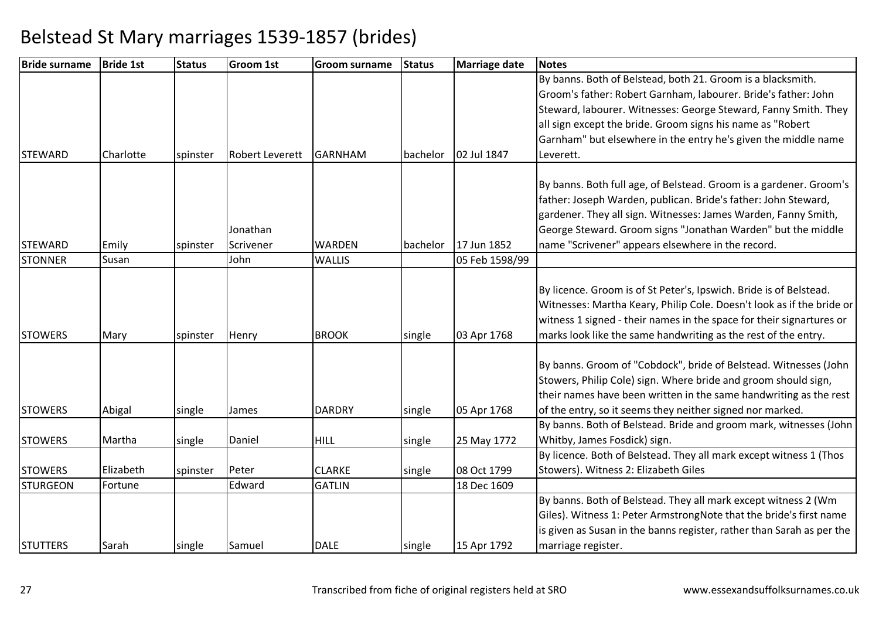| <b>Bride surname</b> | <b>Bride 1st</b> | <b>Status</b> | <b>Groom 1st</b>       | <b>Groom surname</b> | <b>Status</b> | <b>Marriage date</b> | <b>Notes</b>                                                          |
|----------------------|------------------|---------------|------------------------|----------------------|---------------|----------------------|-----------------------------------------------------------------------|
|                      |                  |               |                        |                      |               |                      | By banns. Both of Belstead, both 21. Groom is a blacksmith.           |
|                      |                  |               |                        |                      |               |                      | Groom's father: Robert Garnham, labourer. Bride's father: John        |
|                      |                  |               |                        |                      |               |                      | Steward, labourer. Witnesses: George Steward, Fanny Smith. They       |
|                      |                  |               |                        |                      |               |                      | all sign except the bride. Groom signs his name as "Robert            |
|                      |                  |               |                        |                      |               |                      | Garnham" but elsewhere in the entry he's given the middle name        |
| <b>STEWARD</b>       | Charlotte        | spinster      | <b>Robert Leverett</b> | <b>GARNHAM</b>       | bachelor      | 02 Jul 1847          | Leverett.                                                             |
|                      |                  |               |                        |                      |               |                      | By banns. Both full age, of Belstead. Groom is a gardener. Groom's    |
|                      |                  |               |                        |                      |               |                      | father: Joseph Warden, publican. Bride's father: John Steward,        |
|                      |                  |               |                        |                      |               |                      | gardener. They all sign. Witnesses: James Warden, Fanny Smith,        |
|                      |                  |               | Jonathan               |                      |               |                      | George Steward. Groom signs "Jonathan Warden" but the middle          |
| <b>STEWARD</b>       | Emily            | spinster      | Scrivener              | <b>WARDEN</b>        | bachelor      | 17 Jun 1852          | name "Scrivener" appears elsewhere in the record.                     |
| <b>STONNER</b>       | Susan            |               | John                   | <b>WALLIS</b>        |               | 05 Feb 1598/99       |                                                                       |
|                      |                  |               |                        |                      |               |                      |                                                                       |
|                      |                  |               |                        |                      |               |                      | By licence. Groom is of St Peter's, Ipswich. Bride is of Belstead.    |
|                      |                  |               |                        |                      |               |                      | Witnesses: Martha Keary, Philip Cole. Doesn't look as if the bride or |
|                      |                  |               |                        |                      |               |                      | witness 1 signed - their names in the space for their signartures or  |
| <b>STOWERS</b>       | Mary             | spinster      | Henry                  | <b>BROOK</b>         | single        | 03 Apr 1768          | marks look like the same handwriting as the rest of the entry.        |
|                      |                  |               |                        |                      |               |                      |                                                                       |
|                      |                  |               |                        |                      |               |                      | By banns. Groom of "Cobdock", bride of Belstead. Witnesses (John      |
|                      |                  |               |                        |                      |               |                      | Stowers, Philip Cole) sign. Where bride and groom should sign,        |
|                      |                  |               |                        |                      |               |                      | their names have been written in the same handwriting as the rest     |
| <b>STOWERS</b>       | Abigal           | single        | James                  | <b>DARDRY</b>        | single        | 05 Apr 1768          | of the entry, so it seems they neither signed nor marked.             |
|                      |                  |               |                        |                      |               |                      | By banns. Both of Belstead. Bride and groom mark, witnesses (John     |
| <b>STOWERS</b>       | Martha           | single        | Daniel                 | <b>HILL</b>          | single        | 25 May 1772          | Whitby, James Fosdick) sign.                                          |
|                      |                  |               |                        |                      |               |                      | By licence. Both of Belstead. They all mark except witness 1 (Thos    |
| <b>STOWERS</b>       | Elizabeth        | spinster      | Peter                  | <b>CLARKE</b>        | single        | 08 Oct 1799          | Stowers). Witness 2: Elizabeth Giles                                  |
| <b>STURGEON</b>      | Fortune          |               | Edward                 | <b>GATLIN</b>        |               | 18 Dec 1609          |                                                                       |
|                      |                  |               |                        |                      |               |                      | By banns. Both of Belstead. They all mark except witness 2 (Wm        |
|                      |                  |               |                        |                      |               |                      | Giles). Witness 1: Peter ArmstrongNote that the bride's first name    |
|                      |                  |               |                        |                      |               |                      | is given as Susan in the banns register, rather than Sarah as per the |
| <b>STUTTERS</b>      | Sarah            | single        | Samuel                 | <b>DALE</b>          | single        | 15 Apr 1792          | marriage register.                                                    |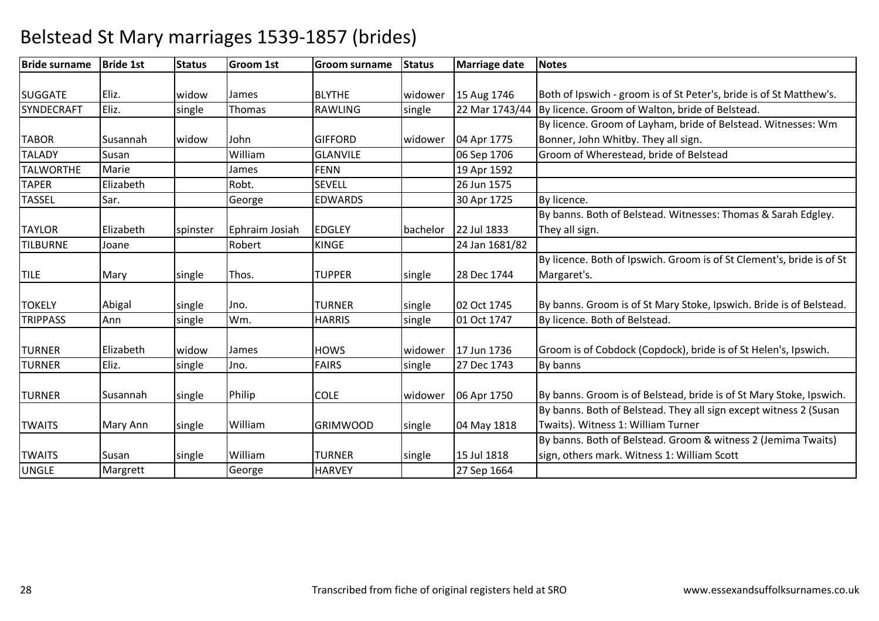| <b>Bride surname</b> | <b>Bride 1st</b> | <b>Status</b> | Groom 1st      | <b>Groom surname</b> | <b>Status</b> | Marriage date  | <b>Notes</b>                                                          |
|----------------------|------------------|---------------|----------------|----------------------|---------------|----------------|-----------------------------------------------------------------------|
|                      |                  |               |                |                      |               |                |                                                                       |
| <b>SUGGATE</b>       | Eliz.            | widow         | James          | <b>BLYTHE</b>        | widower       | 15 Aug 1746    | Both of Ipswich - groom is of St Peter's, bride is of St Matthew's.   |
| SYNDECRAFT           | Eliz.            | single        | Thomas         | RAWLING              | single        | 22 Mar 1743/44 | By licence. Groom of Walton, bride of Belstead.                       |
|                      |                  |               |                |                      |               |                | By licence. Groom of Layham, bride of Belstead. Witnesses: Wm         |
| <b>TABOR</b>         | Susannah         | widow         | John           | <b>GIFFORD</b>       | widower       | 04 Apr 1775    | Bonner, John Whitby. They all sign.                                   |
| <b>TALADY</b>        | Susan            |               | William        | <b>GLANVILE</b>      |               | 06 Sep 1706    | Groom of Wherestead, bride of Belstead                                |
| <b>TALWORTHE</b>     | Marie            |               | James          | <b>FENN</b>          |               | 19 Apr 1592    |                                                                       |
| <b>TAPER</b>         | Elizabeth        |               | Robt.          | <b>SEVELL</b>        |               | 26 Jun 1575    |                                                                       |
| <b>TASSEL</b>        | Sar.             |               | George         | <b>EDWARDS</b>       |               | 30 Apr 1725    | By licence.                                                           |
|                      |                  |               |                |                      |               |                | By banns. Both of Belstead. Witnesses: Thomas & Sarah Edgley.         |
| <b>TAYLOR</b>        | Elizabeth        | spinster      | Ephraim Josiah | <b>EDGLEY</b>        | bachelor      | 22 Jul 1833    | They all sign.                                                        |
| <b>TILBURNE</b>      | Joane            |               | Robert         | <b>KINGE</b>         |               | 24 Jan 1681/82 |                                                                       |
|                      |                  |               |                |                      |               |                | By licence. Both of Ipswich. Groom is of St Clement's, bride is of St |
| <b>TILE</b>          | Mary             | single        | Thos.          | <b>TUPPER</b>        | single        | 28 Dec 1744    | Margaret's.                                                           |
|                      |                  |               |                |                      |               |                |                                                                       |
| <b>TOKELY</b>        | Abigal           | single        | Jno.           | <b>TURNER</b>        | single        | 02 Oct 1745    | By banns. Groom is of St Mary Stoke, Ipswich. Bride is of Belstead.   |
| <b>TRIPPASS</b>      | Ann              | single        | Wm.            | <b>HARRIS</b>        | single        | 01 Oct 1747    | By licence. Both of Belstead.                                         |
|                      | Elizabeth        |               |                |                      |               |                |                                                                       |
| <b>TURNER</b>        |                  | widow         | James          | <b>HOWS</b>          | widower       | 17 Jun 1736    | Groom is of Cobdock (Copdock), bride is of St Helen's, Ipswich.       |
| <b>TURNER</b>        | Eliz.            | single        | Jno.           | <b>FAIRS</b>         | single        | 27 Dec 1743    | By banns                                                              |
| <b>TURNER</b>        | Susannah         | single        | Philip         | <b>COLE</b>          | widower       | 06 Apr 1750    | By banns. Groom is of Belstead, bride is of St Mary Stoke, Ipswich.   |
|                      |                  |               |                |                      |               |                | By banns. Both of Belstead. They all sign except witness 2 (Susan     |
| <b>TWAITS</b>        | Mary Ann         | single        | William        | <b>GRIMWOOD</b>      | single        | 04 May 1818    | Twaits). Witness 1: William Turner                                    |
|                      |                  |               |                |                      |               |                | By banns. Both of Belstead. Groom & witness 2 (Jemima Twaits)         |
| <b>TWAITS</b>        | Susan            | single        | William        | <b>TURNER</b>        | single        | 15 Jul 1818    | sign, others mark. Witness 1: William Scott                           |
|                      |                  |               |                |                      |               |                |                                                                       |
| <b>UNGLE</b>         | Margrett         |               | George         | <b>HARVEY</b>        |               | 27 Sep 1664    |                                                                       |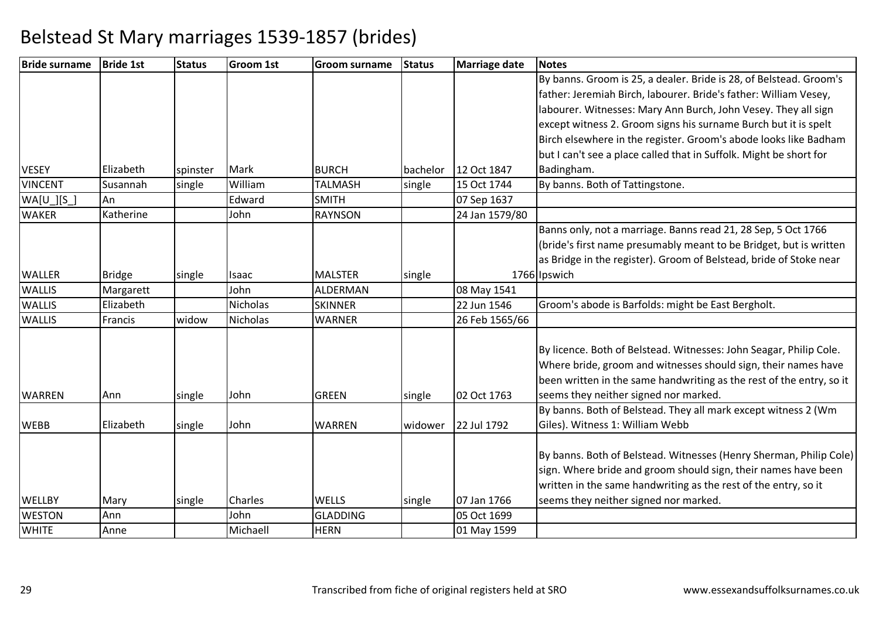| <b>Bride surname</b> | <b>Bride 1st</b> | <b>Status</b> | <b>Groom 1st</b> | <b>Groom surname</b> | <b>Status</b> | Marriage date  | <b>Notes</b>                                                         |
|----------------------|------------------|---------------|------------------|----------------------|---------------|----------------|----------------------------------------------------------------------|
|                      |                  |               |                  |                      |               |                | By banns. Groom is 25, a dealer. Bride is 28, of Belstead. Groom's   |
|                      |                  |               |                  |                      |               |                | father: Jeremiah Birch, labourer. Bride's father: William Vesey,     |
|                      |                  |               |                  |                      |               |                | labourer. Witnesses: Mary Ann Burch, John Vesey. They all sign       |
|                      |                  |               |                  |                      |               |                | except witness 2. Groom signs his surname Burch but it is spelt      |
|                      |                  |               |                  |                      |               |                | Birch elsewhere in the register. Groom's abode looks like Badham     |
|                      |                  |               |                  |                      |               |                | but I can't see a place called that in Suffolk. Might be short for   |
| <b>VESEY</b>         | Elizabeth        | spinster      | Mark             | <b>BURCH</b>         | bachelor      | 12 Oct 1847    | Badingham.                                                           |
| <b>VINCENT</b>       | Susannah         | single        | William          | <b>TALMASH</b>       | single        | 15 Oct 1744    | By banns. Both of Tattingstone.                                      |
| $WA[U_.][S_.]$       | An               |               | Edward           | <b>SMITH</b>         |               | 07 Sep 1637    |                                                                      |
| <b>WAKER</b>         | Katherine        |               | John             | <b>RAYNSON</b>       |               | 24 Jan 1579/80 |                                                                      |
|                      |                  |               |                  |                      |               |                | Banns only, not a marriage. Banns read 21, 28 Sep, 5 Oct 1766        |
|                      |                  |               |                  |                      |               |                | (bride's first name presumably meant to be Bridget, but is written   |
|                      |                  |               |                  |                      |               |                | as Bridge in the register). Groom of Belstead, bride of Stoke near   |
| <b>WALLER</b>        | <b>Bridge</b>    | single        | Isaac            | <b>MALSTER</b>       | single        |                | 1766 Ipswich                                                         |
| <b>WALLIS</b>        | Margarett        |               | John             | ALDERMAN             |               | 08 May 1541    |                                                                      |
| <b>WALLIS</b>        | Elizabeth        |               | <b>Nicholas</b>  | <b>SKINNER</b>       |               | 22 Jun 1546    | Groom's abode is Barfolds: might be East Bergholt.                   |
| <b>WALLIS</b>        | Francis          | widow         | Nicholas         | <b>WARNER</b>        |               | 26 Feb 1565/66 |                                                                      |
|                      |                  |               |                  |                      |               |                |                                                                      |
|                      |                  |               |                  |                      |               |                | By licence. Both of Belstead. Witnesses: John Seagar, Philip Cole.   |
|                      |                  |               |                  |                      |               |                | Where bride, groom and witnesses should sign, their names have       |
|                      |                  |               |                  |                      |               |                | been written in the same handwriting as the rest of the entry, so it |
| <b>WARREN</b>        | Ann              | single        | John             | <b>GREEN</b>         | single        | 02 Oct 1763    | seems they neither signed nor marked.                                |
|                      |                  |               |                  |                      |               |                | By banns. Both of Belstead. They all mark except witness 2 (Wm       |
| <b>WEBB</b>          | Elizabeth        | single        | John             | <b>WARREN</b>        | widower       | 22 Jul 1792    | Giles). Witness 1: William Webb                                      |
|                      |                  |               |                  |                      |               |                | By banns. Both of Belstead. Witnesses (Henry Sherman, Philip Cole)   |
|                      |                  |               |                  |                      |               |                | sign. Where bride and groom should sign, their names have been       |
|                      |                  |               |                  |                      |               |                | written in the same handwriting as the rest of the entry, so it      |
| <b>WELLBY</b>        | Mary             | single        | Charles          | <b>WELLS</b>         | single        | 07 Jan 1766    | seems they neither signed nor marked.                                |
| <b>WESTON</b>        | Ann              |               | John             | <b>GLADDING</b>      |               | 05 Oct 1699    |                                                                      |
| <b>WHITE</b>         | Anne             |               | Michaell         | <b>HERN</b>          |               | 01 May 1599    |                                                                      |
|                      |                  |               |                  |                      |               |                |                                                                      |